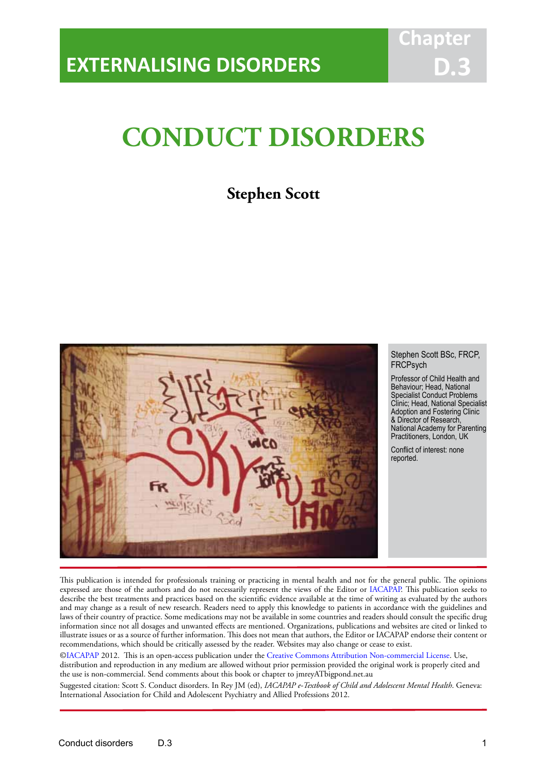# **CONDUCT DISORDERS**

IACAPAP Textbook of Child and Adolescent Mental Health

## **Stephen Scott**



## Stephen Scott BSc, FRCP, **FRCPsych**

Professor of Child Health and Behaviour; Head, National Specialist Conduct Problems Clinic; Head, National Specialist Adoption and Fostering Clinic & Director of Research, National Academy for Parenting Practitioners, London, UK

Conflict of interest: none reported.

This publication is intended for professionals training or practicing in mental health and not for the general public. The opinions expressed are those of the authors and do not necessarily represent the views of the Editor or IACAPAP. This publication seeks to describe the best treatments and practices based on the scientific evidence available at the time of writing as evaluated by the authors and may change as a result of new research. Readers need to apply this knowledge to patients in accordance with the guidelines and laws of their country of practice. Some medications may not be available in some countries and readers should consult the specific drug information since not all dosages and unwanted effects are mentioned. Organizations, publications and websites are cited or linked to illustrate issues or as a source of further information. This does not mean that authors, the Editor or IACAPAP endorse their content or recommendations, which should be critically assessed by the reader. Websites may also change or cease to exist.

[©IACAPAP](http://iacapap.org) 2012. This is an open-access publication under the [Creative Commons Attribution Non-commercial License](http://creativecommons.org). Use,

distribution and reproduction in any medium are allowed without prior permission provided the original work is properly cited and the use is non-commercial. Send comments about this book or chapter to jmreyATbigpond.net.au

Suggested citation: Scott S. Conduct disorders. In Rey JM (ed), *IACAPAP e-Textbook of Child and Adolescent Mental Health*. Geneva: International Association for Child and Adolescent Psychiatry and Allied Professions 2012.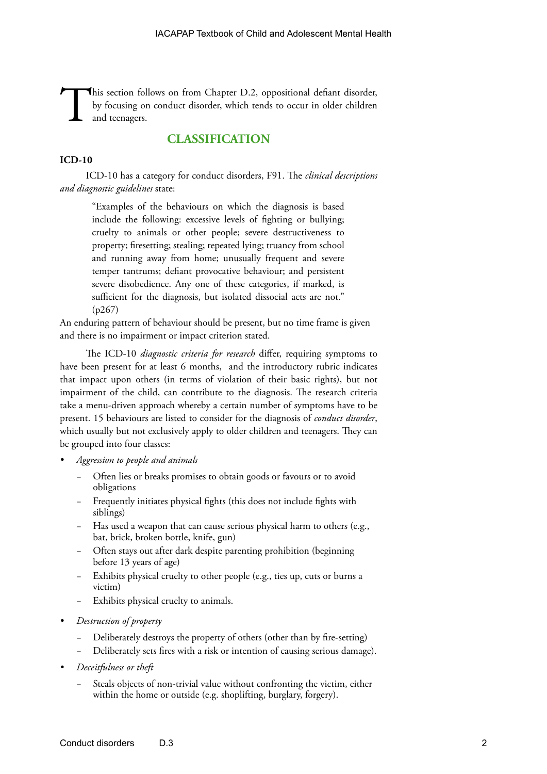This section follows on from Chapter D.2, oppositional defiant disorder, by focusing on conduct disorder, which tends to occur in older children and teenagers. by focusing on conduct disorder, which tends to occur in older children and teenagers.

## **CLASSIFICATION**

## **ICD-10**

ICD-10 has a category for conduct disorders, F91. The *clinical descriptions and diagnostic guidelines* state:

"Examples of the behaviours on which the diagnosis is based include the following: excessive levels of fighting or bullying; cruelty to animals or other people; severe destructiveness to property; firesetting; stealing; repeated lying; truancy from school and running away from home; unusually frequent and severe temper tantrums; defiant provocative behaviour; and persistent severe disobedience. Any one of these categories, if marked, is sufficient for the diagnosis, but isolated dissocial acts are not." (p267)

An enduring pattern of behaviour should be present, but no time frame is given and there is no impairment or impact criterion stated.

The ICD-10 *diagnostic criteria for research* differ, requiring symptoms to have been present for at least 6 months, and the introductory rubric indicates that impact upon others (in terms of violation of their basic rights), but not impairment of the child, can contribute to the diagnosis. The research criteria take a menu-driven approach whereby a certain number of symptoms have to be present. 15 behaviours are listed to consider for the diagnosis of *conduct disorder*, which usually but not exclusively apply to older children and teenagers. They can be grouped into four classes:

- *• Aggression to people and animals*
	- Often lies or breaks promises to obtain goods or favours or to avoid obligations
	- Frequently initiates physical fights (this does not include fights with siblings)
	- Has used a weapon that can cause serious physical harm to others (e.g., bat, brick, broken bottle, knife, gun)
	- Often stays out after dark despite parenting prohibition (beginning before 13 years of age)
	- Exhibits physical cruelty to other people (e.g., ties up, cuts or burns a victim)
	- − Exhibits physical cruelty to animals.
- *• Destruction of property*
	- Deliberately destroys the property of others (other than by fire-setting)
	- − Deliberately sets fires with a risk or intention of causing serious damage).
- *• Deceitfulness or theft*
	- Steals objects of non-trivial value without confronting the victim, either within the home or outside (e.g. shoplifting, burglary, forgery).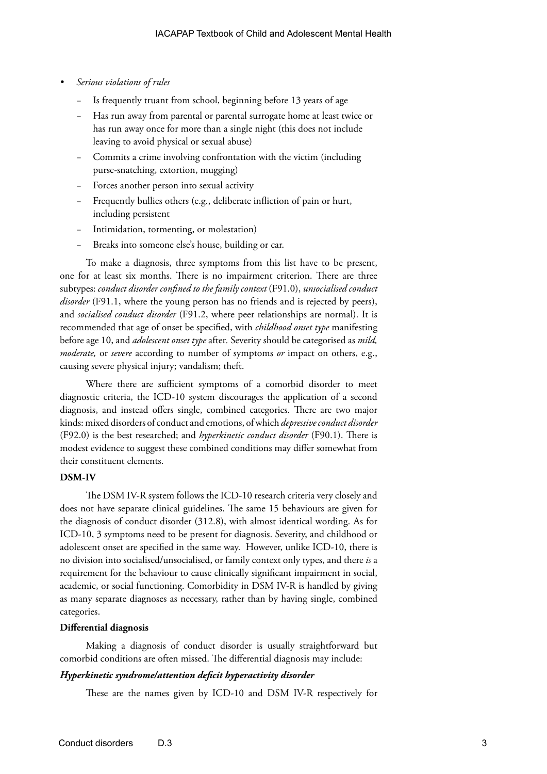- *• Serious violations of rules*
	- Is frequently truant from school, beginning before 13 years of age
	- Has run away from parental or parental surrogate home at least twice or has run away once for more than a single night (this does not include leaving to avoid physical or sexual abuse)
	- − Commits a crime involving confrontation with the victim (including purse-snatching, extortion, mugging)
	- Forces another person into sexual activity
	- Frequently bullies others (e.g., deliberate infliction of pain or hurt, including persistent
	- Intimidation, tormenting, or molestation)
	- Breaks into someone else's house, building or car.

To make a diagnosis, three symptoms from this list have to be present, one for at least six months. There is no impairment criterion. There are three subtypes: *conduct disorder confined to the family context* (F91.0), *unsocialised conduct disorder* (F91.1, where the young person has no friends and is rejected by peers), and *socialised conduct disorder* (F91.2, where peer relationships are normal). It is recommended that age of onset be specified, with *childhood onset type* manifesting before age 10, and *adolescent onset type* after*.* Severity should be categorised as *mild, moderate,* or *severe* according to number of symptoms *or* impact on others, e.g., causing severe physical injury; vandalism; theft.

Where there are sufficient symptoms of a comorbid disorder to meet diagnostic criteria, the ICD-10 system discourages the application of a second diagnosis, and instead offers single, combined categories. There are two major kinds: mixed disorders of conduct and emotions, of which *depressive conduct disorder*  (F92.0) is the best researched; and *hyperkinetic conduct disorder* (F90.1). There is modest evidence to suggest these combined conditions may differ somewhat from their constituent elements.

### **DSM-IV**

The DSM IV-R system follows the ICD-10 research criteria very closely and does not have separate clinical guidelines. The same 15 behaviours are given for the diagnosis of conduct disorder (312.8), with almost identical wording. As for ICD-10, 3 symptoms need to be present for diagnosis. Severity, and childhood or adolescent onset are specified in the same way. However, unlike ICD-10, there is no division into socialised/unsocialised, or family context only types, and there *is* a requirement for the behaviour to cause clinically significant impairment in social, academic, or social functioning. Comorbidity in DSM IV-R is handled by giving as many separate diagnoses as necessary, rather than by having single, combined categories.

## **Differential diagnosis**

Making a diagnosis of conduct disorder is usually straightforward but comorbid conditions are often missed. The differential diagnosis may include:

#### *Hyperkinetic syndrome/attention deficit hyperactivity disorder*

These are the names given by ICD-10 and DSM IV-R respectively for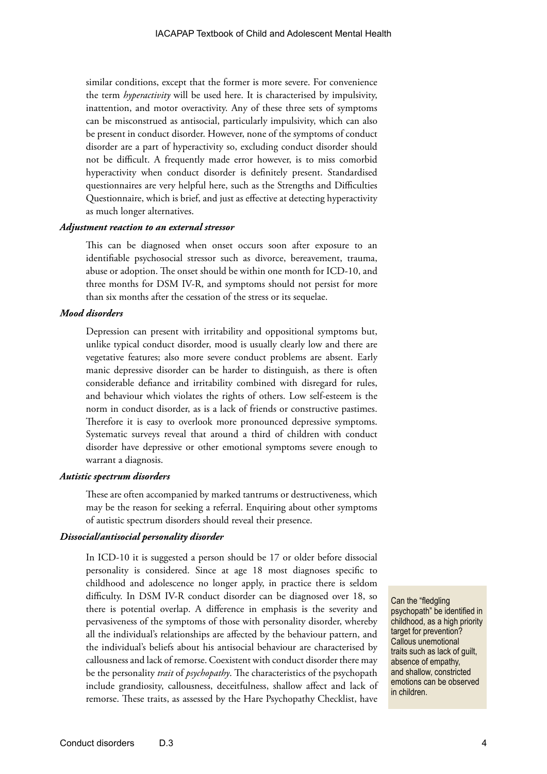similar conditions, except that the former is more severe. For convenience the term *hyperactivity* will be used here. It is characterised by impulsivity, inattention, and motor overactivity. Any of these three sets of symptoms can be misconstrued as antisocial, particularly impulsivity, which can also be present in conduct disorder. However, none of the symptoms of conduct disorder are a part of hyperactivity so, excluding conduct disorder should not be difficult. A frequently made error however, is to miss comorbid hyperactivity when conduct disorder is definitely present. Standardised questionnaires are very helpful here, such as the Strengths and Difficulties Questionnaire, which is brief, and just as effective at detecting hyperactivity as much longer alternatives.

## *Adjustment reaction to an external stressor*

This can be diagnosed when onset occurs soon after exposure to an identifiable psychosocial stressor such as divorce, bereavement, trauma, abuse or adoption. The onset should be within one month for ICD-10, and three months for DSM IV-R, and symptoms should not persist for more than six months after the cessation of the stress or its sequelae.

## *Mood disorders*

Depression can present with irritability and oppositional symptoms but, unlike typical conduct disorder, mood is usually clearly low and there are vegetative features; also more severe conduct problems are absent. Early manic depressive disorder can be harder to distinguish, as there is often considerable defiance and irritability combined with disregard for rules, and behaviour which violates the rights of others. Low self-esteem is the norm in conduct disorder, as is a lack of friends or constructive pastimes. Therefore it is easy to overlook more pronounced depressive symptoms. Systematic surveys reveal that around a third of children with conduct disorder have depressive or other emotional symptoms severe enough to warrant a diagnosis.

#### *Autistic spectrum disorders*

These are often accompanied by marked tantrums or destructiveness, which may be the reason for seeking a referral. Enquiring about other symptoms of autistic spectrum disorders should reveal their presence.

#### *Dissocial/antisocial personality disorder*

In ICD-10 it is suggested a person should be 17 or older before dissocial personality is considered. Since at age 18 most diagnoses specific to childhood and adolescence no longer apply, in practice there is seldom difficulty. In DSM IV-R conduct disorder can be diagnosed over 18, so there is potential overlap. A difference in emphasis is the severity and pervasiveness of the symptoms of those with personality disorder, whereby all the individual's relationships are affected by the behaviour pattern, and the individual's beliefs about his antisocial behaviour are characterised by callousness and lack of remorse. Coexistent with conduct disorder there may be the personality *trait* of *psychopathy*. The characteristics of the psychopath include grandiosity, callousness, deceitfulness, shallow affect and lack of remorse. These traits, as assessed by the Hare Psychopathy Checklist, have

Can the "fledgling psychopath" be identified in childhood, as a high priority target for prevention? Callous unemotional traits such as lack of guilt, absence of empathy, and shallow, constricted emotions can be observed in children.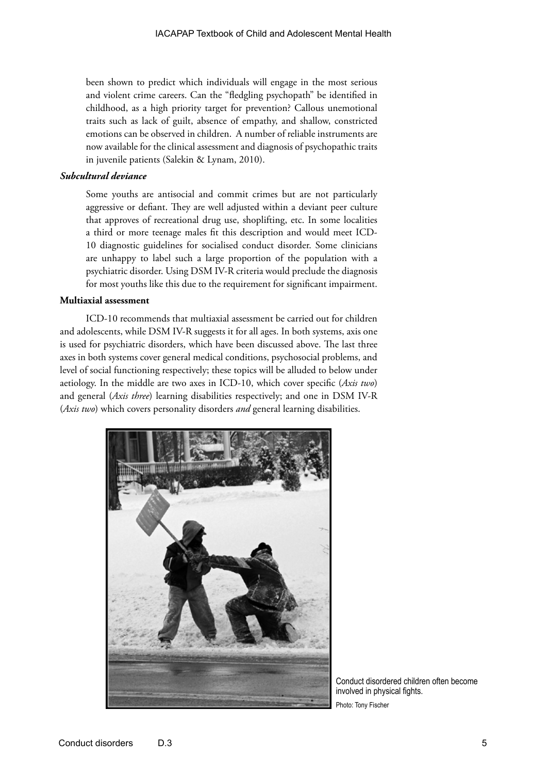been shown to predict which individuals will engage in the most serious and violent crime careers. Can the "fledgling psychopath" be identified in childhood, as a high priority target for prevention? Callous unemotional traits such as lack of guilt, absence of empathy, and shallow, constricted emotions can be observed in children. A number of reliable instruments are now available for the clinical assessment and diagnosis of psychopathic traits in juvenile patients (Salekin & Lynam, 2010).

## *Subcultural deviance*

Some youths are antisocial and commit crimes but are not particularly aggressive or defiant. They are well adjusted within a deviant peer culture that approves of recreational drug use, shoplifting, etc. In some localities a third or more teenage males fit this description and would meet ICD-10 diagnostic guidelines for socialised conduct disorder. Some clinicians are unhappy to label such a large proportion of the population with a psychiatric disorder. Using DSM IV-R criteria would preclude the diagnosis for most youths like this due to the requirement for significant impairment.

## **Multiaxial assessment**

ICD-10 recommends that multiaxial assessment be carried out for children and adolescents, while DSM IV-R suggests it for all ages. In both systems, axis one is used for psychiatric disorders, which have been discussed above. The last three axes in both systems cover general medical conditions, psychosocial problems, and level of social functioning respectively; these topics will be alluded to below under aetiology. In the middle are two axes in ICD-10, which cover specific (*Axis two*) and general (*Axis three*) learning disabilities respectively; and one in DSM IV-R (*Axis two*) which covers personality disorders *and* general learning disabilities.



Conduct disordered children often become involved in physical fights. Photo: Tony Fischer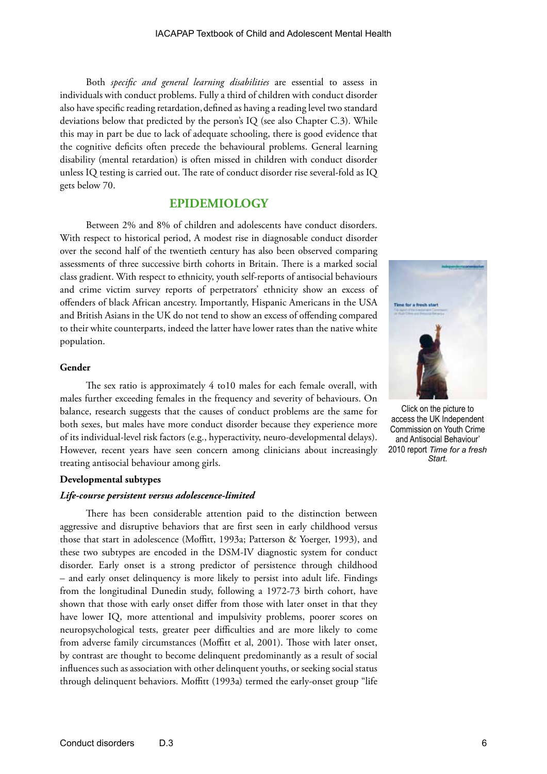Both *specific and general learning disabilities* are essential to assess in individuals with conduct problems. Fully a third of children with conduct disorder also have specific reading retardation, defined as having a reading level two standard deviations below that predicted by the person's IQ (see also Chapter C.3). While this may in part be due to lack of adequate schooling, there is good evidence that the cognitive deficits often precede the behavioural problems. General learning disability (mental retardation) is often missed in children with conduct disorder unless IQ testing is carried out. The rate of conduct disorder rise several-fold as IQ gets below 70.

## **EPIDEMIOLOGY**

Between 2% and 8% of children and adolescents have conduct disorders. With respect to historical period, A modest rise in diagnosable conduct disorder over the second half of the twentieth century has also been observed comparing assessments of three successive birth cohorts in Britain. There is a marked social class gradient. With respect to ethnicity, youth self-reports of antisocial behaviours and crime victim survey reports of perpetrators' ethnicity show an excess of offenders of black African ancestry. Importantly, Hispanic Americans in the USA and British Asians in the UK do not tend to show an excess of offending compared to their white counterparts, indeed the latter have lower rates than the native white population.

## **Gender**

The sex ratio is approximately 4 to10 males for each female overall, with males further exceeding females in the frequency and severity of behaviours. On balance, research suggests that the causes of conduct problems are the same for both sexes, but males have more conduct disorder because they experience more of its individual-level risk factors (e.g., hyperactivity, neuro-developmental delays). However, recent years have seen concern among clinicians about increasingly treating antisocial behaviour among girls.

## **Developmental subtypes**

#### *Life-course persistent versus adolescence-limited*

There has been considerable attention paid to the distinction between aggressive and disruptive behaviors that are first seen in early childhood versus those that start in adolescence (Moffitt, 1993a; Patterson & Yoerger, 1993), and these two subtypes are encoded in the DSM-IV diagnostic system for conduct disorder. Early onset is a strong predictor of persistence through childhood – and early onset delinquency is more likely to persist into adult life. Findings from the longitudinal Dunedin study, following a 1972-73 birth cohort, have shown that those with early onset differ from those with later onset in that they have lower IQ, more attentional and impulsivity problems, poorer scores on neuropsychological tests, greater peer difficulties and are more likely to come from adverse family circumstances (Moffitt et al, 2001). Those with later onset, by contrast are thought to become delinquent predominantly as a result of social influences such as association with other delinquent youths, or seeking social status through delinquent behaviors. Moffitt (1993a) termed the early-onset group "life



Click on the picture to access the UK Independent Commission on Youth Crime and Antisocial Behaviour' 2010 report *Time for a fresh Start.*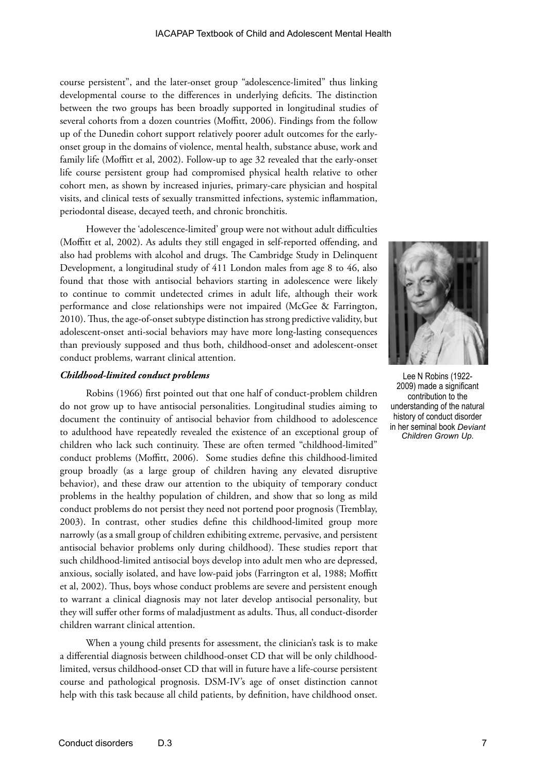course persistent", and the later-onset group "adolescence-limited" thus linking developmental course to the differences in underlying deficits. The distinction between the two groups has been broadly supported in longitudinal studies of several cohorts from a dozen countries (Moffitt, 2006). Findings from the follow up of the Dunedin cohort support relatively poorer adult outcomes for the earlyonset group in the domains of violence, mental health, substance abuse, work and family life (Moffitt et al, 2002). Follow-up to age 32 revealed that the early-onset life course persistent group had compromised physical health relative to other cohort men, as shown by increased injuries, primary-care physician and hospital visits, and clinical tests of sexually transmitted infections, systemic inflammation, periodontal disease, decayed teeth, and chronic bronchitis.

However the 'adolescence-limited' group were not without adult difficulties (Moffitt et al, 2002). As adults they still engaged in self-reported offending, and also had problems with alcohol and drugs. The Cambridge Study in Delinquent Development, a longitudinal study of 411 London males from age 8 to 46, also found that those with antisocial behaviors starting in adolescence were likely to continue to commit undetected crimes in adult life, although their work performance and close relationships were not impaired (McGee & Farrington, 2010). Thus, the age-of-onset subtype distinction has strong predictive validity, but adolescent-onset anti-social behaviors may have more long-lasting consequences than previously supposed and thus both, childhood-onset and adolescent-onset conduct problems, warrant clinical attention.

#### *Childhood-limited conduct problems*

Robins (1966) first pointed out that one half of conduct-problem children do not grow up to have antisocial personalities. Longitudinal studies aiming to document the continuity of antisocial behavior from childhood to adolescence to adulthood have repeatedly revealed the existence of an exceptional group of children who lack such continuity. These are often termed "childhood-limited" conduct problems (Moffitt, 2006). Some studies define this childhood-limited group broadly (as a large group of children having any elevated disruptive behavior), and these draw our attention to the ubiquity of temporary conduct problems in the healthy population of children, and show that so long as mild conduct problems do not persist they need not portend poor prognosis (Tremblay, 2003). In contrast, other studies define this childhood-limited group more narrowly (as a small group of children exhibiting extreme, pervasive, and persistent antisocial behavior problems only during childhood). These studies report that such childhood-limited antisocial boys develop into adult men who are depressed, anxious, socially isolated, and have low-paid jobs (Farrington et al, 1988; Moffitt et al, 2002). Thus, boys whose conduct problems are severe and persistent enough to warrant a clinical diagnosis may not later develop antisocial personality, but they will suffer other forms of maladjustment as adults. Thus, all conduct-disorder children warrant clinical attention.

When a young child presents for assessment, the clinician's task is to make a differential diagnosis between childhood-onset CD that will be only childhoodlimited, versus childhood-onset CD that will in future have a life-course persistent course and pathological prognosis. DSM-IV's age of onset distinction cannot help with this task because all child patients, by definition, have childhood onset.



Lee N Robins (1922- 2009) made a significant contribution to the understanding of the natural history of conduct disorder in her seminal book *Deviant Children Grown Up.*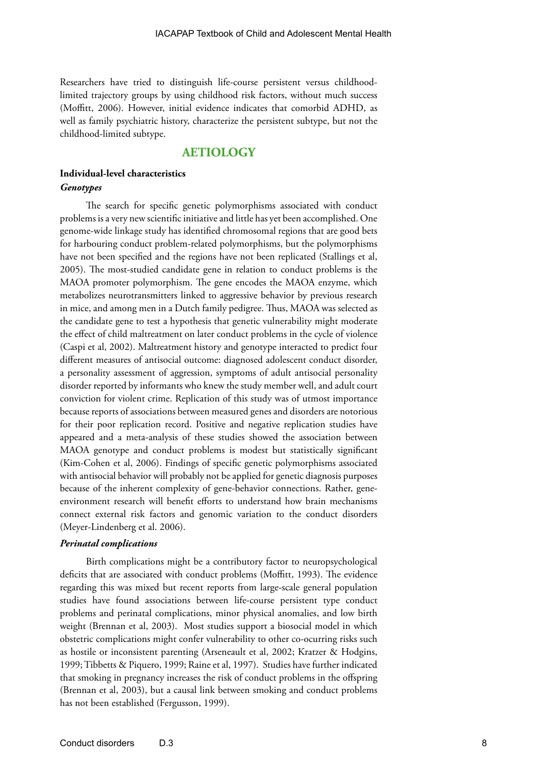Researchers have tried to distinguish life-course persistent versus childhoodlimited trajectory groups by using childhood risk factors, without much success (Moffitt, 2006). However, initial evidence indicates that comorbid ADHD, as well as family psychiatric history, characterize the persistent subtype, but not the childhood-limited subtype.

## **AETIOLOGY**

## **Individual-level characteristics** *Genotypes*

The search for specific genetic polymorphisms associated with conduct problems is a very new scientific initiative and little has yet been accomplished. One genome-wide linkage study has identified chromosomal regions that are good bets for harbouring conduct problem-related polymorphisms, but the polymorphisms have not been specified and the regions have not been replicated (Stallings et al, 2005). The most-studied candidate gene in relation to conduct problems is the MAOA promoter polymorphism. The gene encodes the MAOA enzyme, which metabolizes neurotransmitters linked to aggressive behavior by previous research in mice, and among men in a Dutch family pedigree. Thus, MAOA was selected as the candidate gene to test a hypothesis that genetic vulnerability might moderate the effect of child maltreatment on later conduct problems in the cycle of violence (Caspi et al, 2002). Maltreatment history and genotype interacted to predict four different measures of antisocial outcome: diagnosed adolescent conduct disorder, a personality assessment of aggression, symptoms of adult antisocial personality disorder reported by informants who knew the study member well, and adult court conviction for violent crime. Replication of this study was of utmost importance because reports of associations between measured genes and disorders are notorious for their poor replication record. Positive and negative replication studies have appeared and a meta-analysis of these studies showed the association between MAOA genotype and conduct problems is modest but statistically significant (Kim-Cohen et al, 2006). Findings of specific genetic polymorphisms associated with antisocial behavior will probably not be applied for genetic diagnosis purposes because of the inherent complexity of gene-behavior connections. Rather, geneenvironment research will benefit efforts to understand how brain mechanisms connect external risk factors and genomic variation to the conduct disorders (Meyer-Lindenberg et al. 2006).

## *Perinatal complications*

Birth complications might be a contributory factor to neuropsychological deficits that are associated with conduct problems (Moffitt, 1993). The evidence regarding this was mixed but recent reports from large-scale general population studies have found associations between life-course persistent type conduct problems and perinatal complications, minor physical anomalies, and low birth weight (Brennan et al, 2003). Most studies support a biosocial model in which obstetric complications might confer vulnerability to other co-ocurring risks such as hostile or inconsistent parenting (Arseneault et al, 2002; Kratzer & Hodgins, 1999; Tibbetts & Piquero, 1999; Raine et al, 1997). Studies have further indicated that smoking in pregnancy increases the risk of conduct problems in the offspring (Brennan et al, 2003), but a causal link between smoking and conduct problems has not been established (Fergusson, 1999).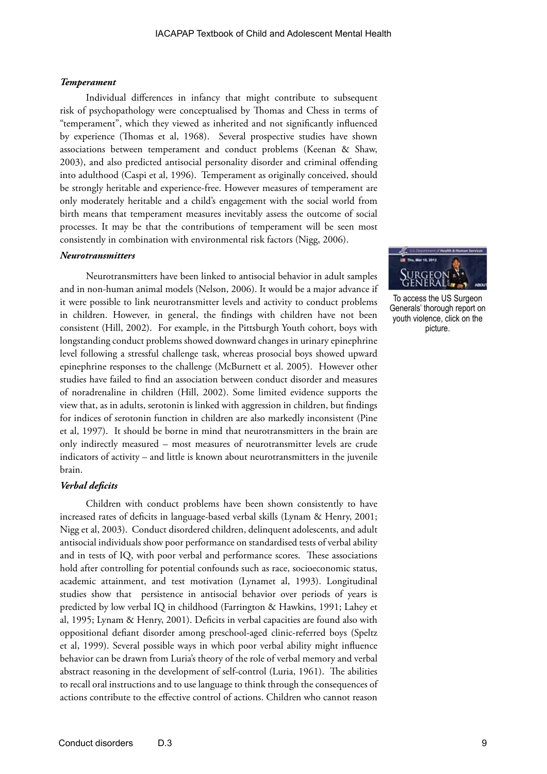#### *Temperament*

Individual differences in infancy that might contribute to subsequent risk of psychopathology were conceptualised by Thomas and Chess in terms of "temperament", which they viewed as inherited and not significantly influenced by experience (Thomas et al, 1968). Several prospective studies have shown associations between temperament and conduct problems (Keenan & Shaw, 2003), and also predicted antisocial personality disorder and criminal offending into adulthood (Caspi et al, 1996). Temperament as originally conceived, should be strongly heritable and experience-free. However measures of temperament are only moderately heritable and a child's engagement with the social world from birth means that temperament measures inevitably assess the outcome of social processes. It may be that the contributions of temperament will be seen most consistently in combination with environmental risk factors (Nigg, 2006).

#### *Neurotransmitters*

Neurotransmitters have been linked to antisocial behavior in adult samples and in non-human animal models (Nelson, 2006). It would be a major advance if it were possible to link neurotransmitter levels and activity to conduct problems in children. However, in general, the findings with children have not been consistent (Hill, 2002). For example, in the Pittsburgh Youth cohort, boys with longstanding conduct problems showed downward changes in urinary epinephrine level following a stressful challenge task, whereas prosocial boys showed upward epinephrine responses to the challenge (McBurnett et al. 2005). However other studies have failed to find an association between conduct disorder and measures of noradrenaline in children (Hill, 2002). Some limited evidence supports the view that, as in adults, serotonin is linked with aggression in children, but findings for indices of serotonin function in children are also markedly inconsistent (Pine et al, 1997). It should be borne in mind that neurotransmitters in the brain are only indirectly measured – most measures of neurotransmitter levels are crude indicators of activity – and little is known about neurotransmitters in the juvenile brain.

#### *Verbal deficits*

Children with conduct problems have been shown consistently to have increased rates of deficits in language-based verbal skills (Lynam & Henry, 2001; Nigg et al, 2003). Conduct disordered children, delinquent adolescents, and adult antisocial individuals show poor performance on standardised tests of verbal ability and in tests of IQ, with poor verbal and performance scores. These associations hold after controlling for potential confounds such as race, socioeconomic status, academic attainment, and test motivation (Lynamet al, 1993). Longitudinal studies show that persistence in antisocial behavior over periods of years is predicted by low verbal IQ in childhood (Farrington & Hawkins, 1991; Lahey et al, 1995; Lynam & Henry, 2001). Deficits in verbal capacities are found also with oppositional defiant disorder among preschool-aged clinic-referred boys (Speltz et al, 1999). Several possible ways in which poor verbal ability might influence behavior can be drawn from Luria's theory of the role of verbal memory and verbal abstract reasoning in the development of self-control (Luria, 1961). The abilities to recall oral instructions and to use language to think through the consequences of actions contribute to the effective control of actions. Children who cannot reason



To access the US Surgeon Generals' thorough report on youth violence, click on the picture.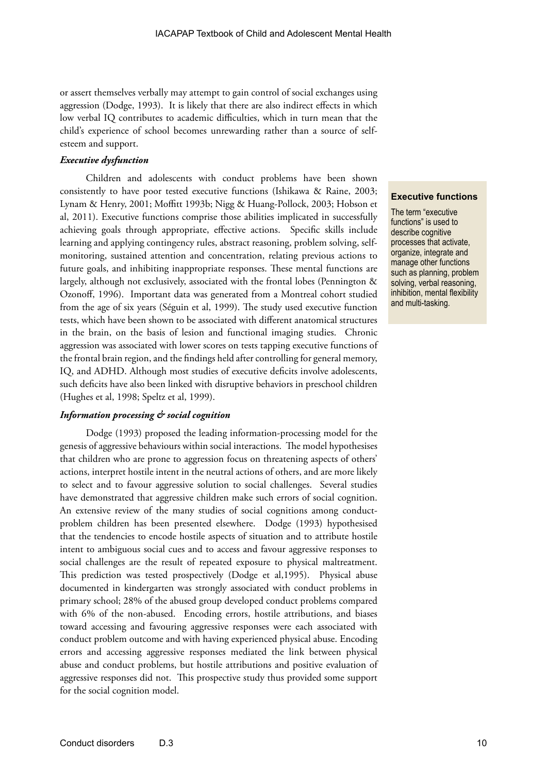or assert themselves verbally may attempt to gain control of social exchanges using aggression (Dodge, 1993). It is likely that there are also indirect effects in which low verbal IQ contributes to academic difficulties, which in turn mean that the child's experience of school becomes unrewarding rather than a source of selfesteem and support.

## *Executive dysfunction*

Children and adolescents with conduct problems have been shown consistently to have poor tested executive functions (Ishikawa & Raine, 2003; Lynam & Henry, 2001; Moffitt 1993b; Nigg & Huang-Pollock, 2003; Hobson et al, 2011). Executive functions comprise those abilities implicated in successfully achieving goals through appropriate, effective actions. Specific skills include learning and applying contingency rules, abstract reasoning, problem solving, selfmonitoring, sustained attention and concentration, relating previous actions to future goals, and inhibiting inappropriate responses. These mental functions are largely, although not exclusively, associated with the frontal lobes (Pennington & Ozonoff, 1996). Important data was generated from a Montreal cohort studied from the age of six years (Séguin et al, 1999). The study used executive function tests, which have been shown to be associated with different anatomical structures in the brain, on the basis of lesion and functional imaging studies. Chronic aggression was associated with lower scores on tests tapping executive functions of the frontal brain region, and the findings held after controlling for general memory, IQ, and ADHD. Although most studies of executive deficits involve adolescents, such deficits have also been linked with disruptive behaviors in preschool children (Hughes et al, 1998; Speltz et al, 1999).

#### *Information processing & social cognition*

Dodge (1993) proposed the leading information-processing model for the genesis of aggressive behaviours within social interactions. The model hypothesises that children who are prone to aggression focus on threatening aspects of others' actions, interpret hostile intent in the neutral actions of others, and are more likely to select and to favour aggressive solution to social challenges. Several studies have demonstrated that aggressive children make such errors of social cognition. An extensive review of the many studies of social cognitions among conductproblem children has been presented elsewhere. Dodge (1993) hypothesised that the tendencies to encode hostile aspects of situation and to attribute hostile intent to ambiguous social cues and to access and favour aggressive responses to social challenges are the result of repeated exposure to physical maltreatment. This prediction was tested prospectively (Dodge et al,1995). Physical abuse documented in kindergarten was strongly associated with conduct problems in primary school; 28% of the abused group developed conduct problems compared with 6% of the non-abused. Encoding errors, hostile attributions, and biases toward accessing and favouring aggressive responses were each associated with conduct problem outcome and with having experienced physical abuse. Encoding errors and accessing aggressive responses mediated the link between physical abuse and conduct problems, but hostile attributions and positive evaluation of aggressive responses did not. This prospective study thus provided some support for the social cognition model.

## **Executive functions**

The term "executive functions" is used to describe cognitive processes that activate, organize, integrate and manage other functions such as planning, problem solving, verbal reasoning, inhibition, mental flexibility and multi-tasking.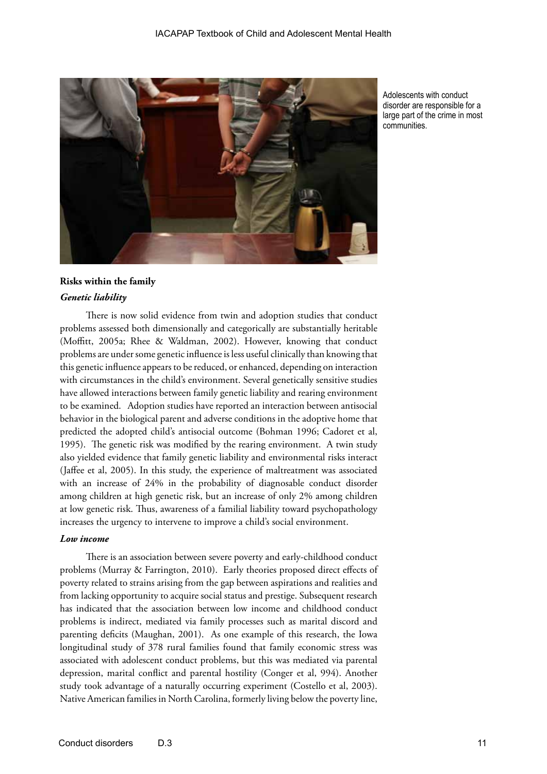

Adolescents with conduct disorder are responsible for a large part of the crime in most communities.

## **Risks within the family**  *Genetic liability*

There is now solid evidence from twin and adoption studies that conduct problems assessed both dimensionally and categorically are substantially heritable (Moffitt, 2005a; Rhee & Waldman, 2002). However, knowing that conduct problems are under some genetic influence is less useful clinically than knowing that this genetic influence appears to be reduced, or enhanced, depending on interaction with circumstances in the child's environment. Several genetically sensitive studies have allowed interactions between family genetic liability and rearing environment to be examined. Adoption studies have reported an interaction between antisocial behavior in the biological parent and adverse conditions in the adoptive home that predicted the adopted child's antisocial outcome (Bohman 1996; Cadoret et al, 1995). The genetic risk was modified by the rearing environment. A twin study also yielded evidence that family genetic liability and environmental risks interact (Jaffee et al, 2005). In this study, the experience of maltreatment was associated with an increase of 24% in the probability of diagnosable conduct disorder among children at high genetic risk, but an increase of only 2% among children at low genetic risk. Thus, awareness of a familial liability toward psychopathology increases the urgency to intervene to improve a child's social environment.

## *Low income*

There is an association between severe poverty and early-childhood conduct problems (Murray & Farrington, 2010). Early theories proposed direct effects of poverty related to strains arising from the gap between aspirations and realities and from lacking opportunity to acquire social status and prestige. Subsequent research has indicated that the association between low income and childhood conduct problems is indirect, mediated via family processes such as marital discord and parenting deficits (Maughan, 2001). As one example of this research, the Iowa longitudinal study of 378 rural families found that family economic stress was associated with adolescent conduct problems, but this was mediated via parental depression, marital conflict and parental hostility (Conger et al, 994). Another study took advantage of a naturally occurring experiment (Costello et al, 2003). Native American families in North Carolina, formerly living below the poverty line,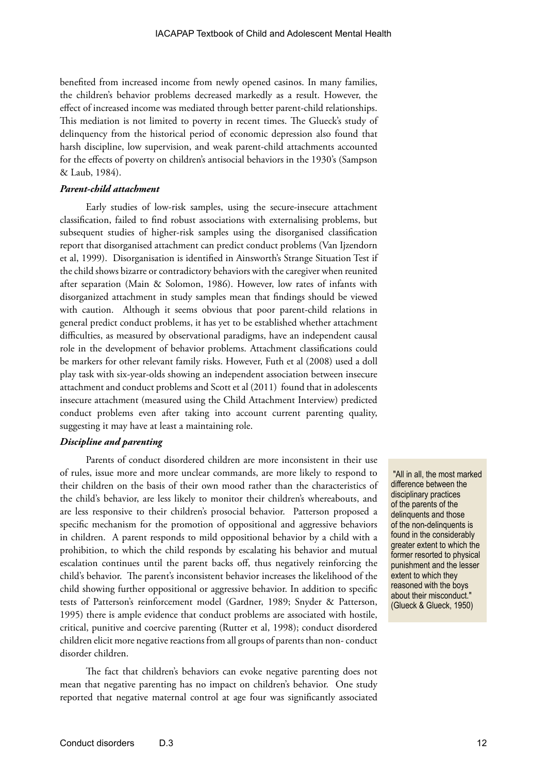benefited from increased income from newly opened casinos. In many families, the children's behavior problems decreased markedly as a result. However, the effect of increased income was mediated through better parent-child relationships. This mediation is not limited to poverty in recent times. The Glueck's study of delinquency from the historical period of economic depression also found that harsh discipline, low supervision, and weak parent-child attachments accounted for the effects of poverty on children's antisocial behaviors in the 1930's (Sampson & Laub, 1984).

## *Parent-child attachment*

Early studies of low-risk samples, using the secure-insecure attachment classification, failed to find robust associations with externalising problems, but subsequent studies of higher-risk samples using the disorganised classification report that disorganised attachment can predict conduct problems (Van Ijzendorn et al, 1999). Disorganisation is identified in Ainsworth's Strange Situation Test if the child shows bizarre or contradictory behaviors with the caregiver when reunited after separation (Main & Solomon, 1986). However, low rates of infants with disorganized attachment in study samples mean that findings should be viewed with caution. Although it seems obvious that poor parent-child relations in general predict conduct problems, it has yet to be established whether attachment difficulties, as measured by observational paradigms, have an independent causal role in the development of behavior problems. Attachment classifications could be markers for other relevant family risks. However, Futh et al (2008) used a doll play task with six-year-olds showing an independent association between insecure attachment and conduct problems and Scott et al (2011) found that in adolescents insecure attachment (measured using the Child Attachment Interview) predicted conduct problems even after taking into account current parenting quality, suggesting it may have at least a maintaining role.

## *Discipline and parenting*

Parents of conduct disordered children are more inconsistent in their use of rules, issue more and more unclear commands, are more likely to respond to their children on the basis of their own mood rather than the characteristics of the child's behavior, are less likely to monitor their children's whereabouts, and are less responsive to their children's prosocial behavior. Patterson proposed a specific mechanism for the promotion of oppositional and aggressive behaviors in children. A parent responds to mild oppositional behavior by a child with a prohibition, to which the child responds by escalating his behavior and mutual escalation continues until the parent backs off, thus negatively reinforcing the child's behavior. The parent's inconsistent behavior increases the likelihood of the child showing further oppositional or aggressive behavior. In addition to specific tests of Patterson's reinforcement model (Gardner, 1989; Snyder & Patterson, 1995) there is ample evidence that conduct problems are associated with hostile, critical, punitive and coercive parenting (Rutter et al, 1998); conduct disordered children elicit more negative reactions from all groups of parents than non- conduct disorder children.

The fact that children's behaviors can evoke negative parenting does not mean that negative parenting has no impact on children's behavior. One study reported that negative maternal control at age four was significantly associated

 "All in all, the most marked difference between the disciplinary practices of the parents of the delinquents and those of the non-delinquents is found in the considerably greater extent to which the former resorted to physical punishment and the lesser extent to which they reasoned with the boys about their misconduct." (Glueck & Glueck, 1950)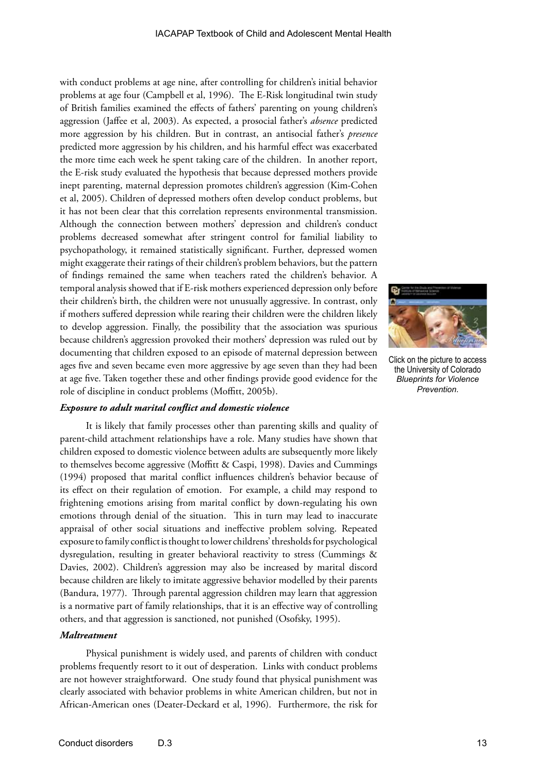with conduct problems at age nine, after controlling for children's initial behavior problems at age four (Campbell et al, 1996). The E-Risk longitudinal twin study of British families examined the effects of fathers' parenting on young children's aggression (Jaffee et al, 2003). As expected, a prosocial father's *absence* predicted more aggression by his children. But in contrast, an antisocial father's *presence* predicted more aggression by his children, and his harmful effect was exacerbated the more time each week he spent taking care of the children. In another report, the E-risk study evaluated the hypothesis that because depressed mothers provide inept parenting, maternal depression promotes children's aggression (Kim-Cohen et al, 2005). Children of depressed mothers often develop conduct problems, but it has not been clear that this correlation represents environmental transmission. Although the connection between mothers' depression and children's conduct problems decreased somewhat after stringent control for familial liability to psychopathology, it remained statistically significant. Further, depressed women might exaggerate their ratings of their children's problem behaviors, but the pattern of findings remained the same when teachers rated the children's behavior. A temporal analysis showed that if E-risk mothers experienced depression only before their children's birth, the children were not unusually aggressive. In contrast, only if mothers suffered depression while rearing their children were the children likely to develop aggression. Finally, the possibility that the association was spurious because children's aggression provoked their mothers' depression was ruled out by documenting that children exposed to an episode of maternal depression between ages five and seven became even more aggressive by age seven than they had been at age five. Taken together these and other findings provide good evidence for the role of discipline in conduct problems (Moffitt, 2005b).

## *Exposure to adult marital conflict and domestic violence*

It is likely that family processes other than parenting skills and quality of parent-child attachment relationships have a role. Many studies have shown that children exposed to domestic violence between adults are subsequently more likely to themselves become aggressive (Moffitt & Caspi, 1998). Davies and Cummings (1994) proposed that marital conflict influences children's behavior because of its effect on their regulation of emotion. For example, a child may respond to frightening emotions arising from marital conflict by down-regulating his own emotions through denial of the situation. This in turn may lead to inaccurate appraisal of other social situations and ineffective problem solving. Repeated exposure to family conflict is thought to lower childrens' thresholds for psychological dysregulation, resulting in greater behavioral reactivity to stress (Cummings & Davies, 2002). Children's aggression may also be increased by marital discord because children are likely to imitate aggressive behavior modelled by their parents (Bandura, 1977). Through parental aggression children may learn that aggression is a normative part of family relationships, that it is an effective way of controlling others, and that aggression is sanctioned, not punished (Osofsky, 1995).

#### *Maltreatment*

Physical punishment is widely used, and parents of children with conduct problems frequently resort to it out of desperation. Links with conduct problems are not however straightforward. One study found that physical punishment was clearly associated with behavior problems in white American children, but not in African-American ones (Deater-Deckard et al, 1996). Furthermore, the risk for



Click on the picture to access the University of Colorado *Blueprints for Violence Prevention*.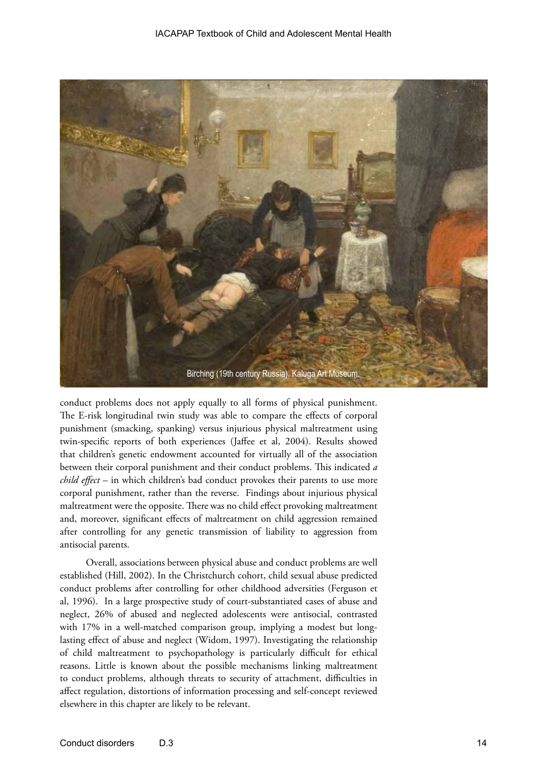

conduct problems does not apply equally to all forms of physical punishment. The E-risk longitudinal twin study was able to compare the effects of corporal punishment (smacking, spanking) versus injurious physical maltreatment using twin-specific reports of both experiences (Jaffee et al, 2004). Results showed that children's genetic endowment accounted for virtually all of the association between their corporal punishment and their conduct problems. This indicated *a child effect* – in which children's bad conduct provokes their parents to use more corporal punishment, rather than the reverse. Findings about injurious physical maltreatment were the opposite. There was no child effect provoking maltreatment and, moreover, significant effects of maltreatment on child aggression remained after controlling for any genetic transmission of liability to aggression from antisocial parents.

Overall, associations between physical abuse and conduct problems are well established (Hill, 2002). In the Christchurch cohort, child sexual abuse predicted conduct problems after controlling for other childhood adversities (Ferguson et al, 1996). In a large prospective study of court-substantiated cases of abuse and neglect, 26% of abused and neglected adolescents were antisocial, contrasted with 17% in a well-matched comparison group, implying a modest but longlasting effect of abuse and neglect (Widom, 1997). Investigating the relationship of child maltreatment to psychopathology is particularly difficult for ethical reasons. Little is known about the possible mechanisms linking maltreatment to conduct problems, although threats to security of attachment, difficulties in affect regulation, distortions of information processing and self-concept reviewed elsewhere in this chapter are likely to be relevant.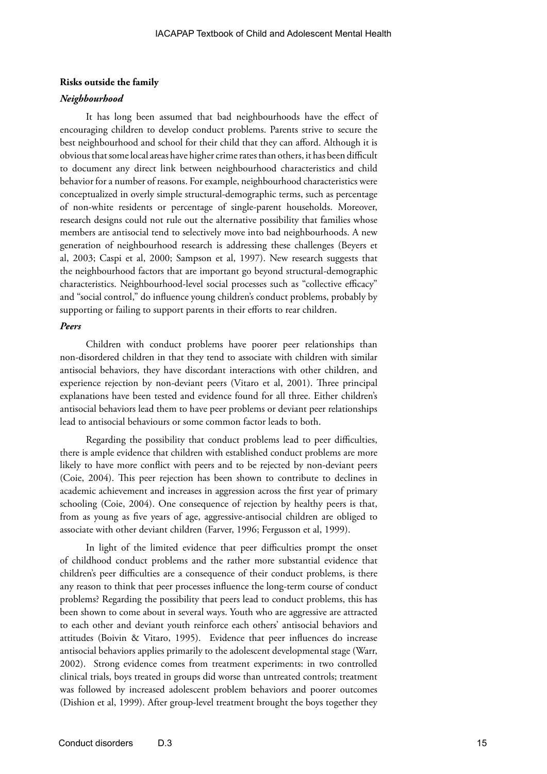#### **Risks outside the family**

#### *Neighbourhood*

It has long been assumed that bad neighbourhoods have the effect of encouraging children to develop conduct problems. Parents strive to secure the best neighbourhood and school for their child that they can afford. Although it is obvious that some local areas have higher crime rates than others, it has been difficult to document any direct link between neighbourhood characteristics and child behavior for a number of reasons. For example, neighbourhood characteristics were conceptualized in overly simple structural-demographic terms, such as percentage of non-white residents or percentage of single-parent households. Moreover, research designs could not rule out the alternative possibility that families whose members are antisocial tend to selectively move into bad neighbourhoods. A new generation of neighbourhood research is addressing these challenges (Beyers et al, 2003; Caspi et al, 2000; Sampson et al, 1997). New research suggests that the neighbourhood factors that are important go beyond structural-demographic characteristics. Neighbourhood-level social processes such as "collective efficacy" and "social control," do influence young children's conduct problems, probably by supporting or failing to support parents in their efforts to rear children.

## *Peers*

Children with conduct problems have poorer peer relationships than non-disordered children in that they tend to associate with children with similar antisocial behaviors, they have discordant interactions with other children, and experience rejection by non-deviant peers (Vitaro et al, 2001). Three principal explanations have been tested and evidence found for all three. Either children's antisocial behaviors lead them to have peer problems or deviant peer relationships lead to antisocial behaviours or some common factor leads to both.

Regarding the possibility that conduct problems lead to peer difficulties, there is ample evidence that children with established conduct problems are more likely to have more conflict with peers and to be rejected by non-deviant peers (Coie, 2004). This peer rejection has been shown to contribute to declines in academic achievement and increases in aggression across the first year of primary schooling (Coie, 2004). One consequence of rejection by healthy peers is that, from as young as five years of age, aggressive-antisocial children are obliged to associate with other deviant children (Farver, 1996; Fergusson et al, 1999).

In light of the limited evidence that peer difficulties prompt the onset of childhood conduct problems and the rather more substantial evidence that children's peer difficulties are a consequence of their conduct problems, is there any reason to think that peer processes influence the long-term course of conduct problems? Regarding the possibility that peers lead to conduct problems, this has been shown to come about in several ways. Youth who are aggressive are attracted to each other and deviant youth reinforce each others' antisocial behaviors and attitudes (Boivin & Vitaro, 1995). Evidence that peer influences do increase antisocial behaviors applies primarily to the adolescent developmental stage (Warr, 2002). Strong evidence comes from treatment experiments: in two controlled clinical trials, boys treated in groups did worse than untreated controls; treatment was followed by increased adolescent problem behaviors and poorer outcomes (Dishion et al, 1999). After group-level treatment brought the boys together they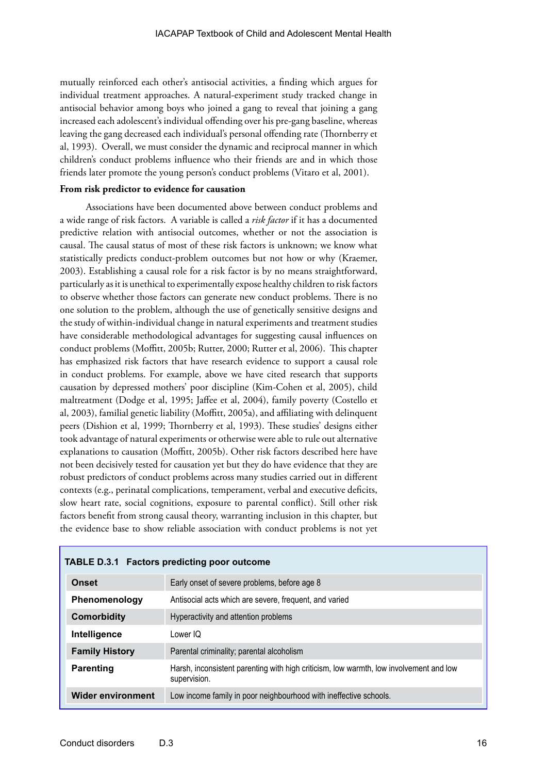mutually reinforced each other's antisocial activities, a finding which argues for individual treatment approaches. A natural-experiment study tracked change in antisocial behavior among boys who joined a gang to reveal that joining a gang increased each adolescent's individual offending over his pre-gang baseline, whereas leaving the gang decreased each individual's personal offending rate (Thornberry et al, 1993). Overall, we must consider the dynamic and reciprocal manner in which children's conduct problems influence who their friends are and in which those friends later promote the young person's conduct problems (Vitaro et al, 2001).

## **From risk predictor to evidence for causation**

Associations have been documented above between conduct problems and a wide range of risk factors. A variable is called a *risk factor* if it has a documented predictive relation with antisocial outcomes, whether or not the association is causal. The causal status of most of these risk factors is unknown; we know what statistically predicts conduct-problem outcomes but not how or why (Kraemer, 2003). Establishing a causal role for a risk factor is by no means straightforward, particularly as it is unethical to experimentally expose healthy children to risk factors to observe whether those factors can generate new conduct problems. There is no one solution to the problem, although the use of genetically sensitive designs and the study of within-individual change in natural experiments and treatment studies have considerable methodological advantages for suggesting causal influences on conduct problems (Moffitt, 2005b; Rutter, 2000; Rutter et al, 2006). This chapter has emphasized risk factors that have research evidence to support a causal role in conduct problems. For example, above we have cited research that supports causation by depressed mothers' poor discipline (Kim-Cohen et al, 2005), child maltreatment (Dodge et al, 1995; Jaffee et al, 2004), family poverty (Costello et al, 2003), familial genetic liability (Moffitt, 2005a), and affiliating with delinquent peers (Dishion et al, 1999; Thornberry et al, 1993). These studies' designs either took advantage of natural experiments or otherwise were able to rule out alternative explanations to causation (Moffitt, 2005b). Other risk factors described here have not been decisively tested for causation yet but they do have evidence that they are robust predictors of conduct problems across many studies carried out in different contexts (e.g., perinatal complications, temperament, verbal and executive deficits, slow heart rate, social cognitions, exposure to parental conflict). Still other risk factors benefit from strong causal theory, warranting inclusion in this chapter, but the evidence base to show reliable association with conduct problems is not yet

| <b>TABLE D.3.1 Factors predicting poor outcome</b> |                                                                                                        |
|----------------------------------------------------|--------------------------------------------------------------------------------------------------------|
| <b>Onset</b>                                       | Early onset of severe problems, before age 8                                                           |
| Phenomenology                                      | Antisocial acts which are severe, frequent, and varied                                                 |
| Comorbidity                                        | Hyperactivity and attention problems                                                                   |
| Intelligence                                       | Lower IQ                                                                                               |
| <b>Family History</b>                              | Parental criminality; parental alcoholism                                                              |
| <b>Parenting</b>                                   | Harsh, inconsistent parenting with high criticism, low warmth, low involvement and low<br>supervision. |
| <b>Wider environment</b>                           | Low income family in poor neighbourhood with ineffective schools.                                      |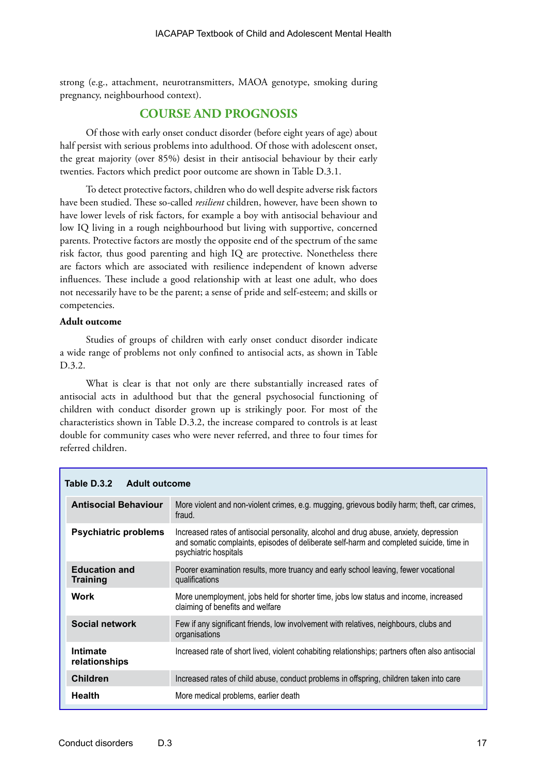strong (e.g., attachment, neurotransmitters, MAOA genotype, smoking during pregnancy, neighbourhood context).

## **COURSE AND PROGNOSIS**

Of those with early onset conduct disorder (before eight years of age) about half persist with serious problems into adulthood. Of those with adolescent onset, the great majority (over 85%) desist in their antisocial behaviour by their early twenties. Factors which predict poor outcome are shown in Table D.3.1.

To detect protective factors, children who do well despite adverse risk factors have been studied. These so-called *resilient* children, however, have been shown to have lower levels of risk factors, for example a boy with antisocial behaviour and low IQ living in a rough neighbourhood but living with supportive, concerned parents. Protective factors are mostly the opposite end of the spectrum of the same risk factor, thus good parenting and high IQ are protective. Nonetheless there are factors which are associated with resilience independent of known adverse influences. These include a good relationship with at least one adult, who does not necessarily have to be the parent; a sense of pride and self-esteem; and skills or competencies.

## **Adult outcome**

Studies of groups of children with early onset conduct disorder indicate a wide range of problems not only confined to antisocial acts, as shown in Table D.3.2.

What is clear is that not only are there substantially increased rates of antisocial acts in adulthood but that the general psychosocial functioning of children with conduct disorder grown up is strikingly poor. For most of the characteristics shown in Table D.3.2, the increase compared to controls is at least double for community cases who were never referred, and three to four times for referred children.

| Table D.3.2<br><b>Adult outcome</b>     |                                                                                                                                                                                                            |
|-----------------------------------------|------------------------------------------------------------------------------------------------------------------------------------------------------------------------------------------------------------|
| <b>Antisocial Behaviour</b>             | More violent and non-violent crimes, e.g. mugging, grievous bodily harm; theft, car crimes,<br>fraud.                                                                                                      |
| <b>Psychiatric problems</b>             | Increased rates of antisocial personality, alcohol and drug abuse, anxiety, depression<br>and somatic complaints, episodes of deliberate self-harm and completed suicide, time in<br>psychiatric hospitals |
| <b>Education and</b><br><b>Training</b> | Poorer examination results, more truancy and early school leaving, fewer vocational<br>qualifications                                                                                                      |
| <b>Work</b>                             | More unemployment, jobs held for shorter time, jobs low status and income, increased<br>claiming of benefits and welfare                                                                                   |
| Social network                          | Few if any significant friends, low involvement with relatives, neighbours, clubs and<br>organisations                                                                                                     |
| <b>Intimate</b><br>relationships        | Increased rate of short lived, violent cohabiting relationships; partners often also antisocial                                                                                                            |
| <b>Children</b>                         | Increased rates of child abuse, conduct problems in offspring, children taken into care                                                                                                                    |
| <b>Health</b>                           | More medical problems, earlier death                                                                                                                                                                       |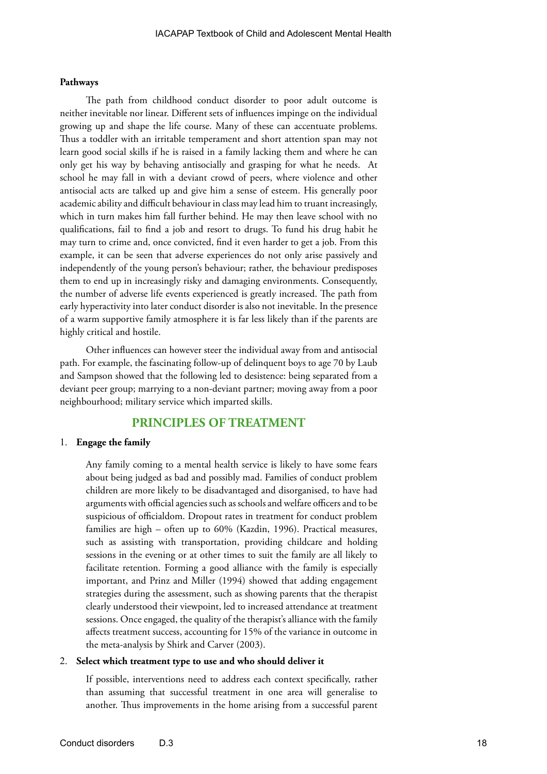#### **Pathways**

The path from childhood conduct disorder to poor adult outcome is neither inevitable nor linear. Different sets of influences impinge on the individual growing up and shape the life course. Many of these can accentuate problems. Thus a toddler with an irritable temperament and short attention span may not learn good social skills if he is raised in a family lacking them and where he can only get his way by behaving antisocially and grasping for what he needs. At school he may fall in with a deviant crowd of peers, where violence and other antisocial acts are talked up and give him a sense of esteem. His generally poor academic ability and difficult behaviour in class may lead him to truant increasingly, which in turn makes him fall further behind. He may then leave school with no qualifications, fail to find a job and resort to drugs. To fund his drug habit he may turn to crime and, once convicted, find it even harder to get a job. From this example, it can be seen that adverse experiences do not only arise passively and independently of the young person's behaviour; rather, the behaviour predisposes them to end up in increasingly risky and damaging environments. Consequently, the number of adverse life events experienced is greatly increased. The path from early hyperactivity into later conduct disorder is also not inevitable. In the presence of a warm supportive family atmosphere it is far less likely than if the parents are highly critical and hostile.

Other influences can however steer the individual away from and antisocial path. For example, the fascinating follow-up of delinquent boys to age 70 by Laub and Sampson showed that the following led to desistence: being separated from a deviant peer group; marrying to a non-deviant partner; moving away from a poor neighbourhood; military service which imparted skills.

## **PRINCIPLES OF TREATMENT**

#### 1. **Engage the family**

Any family coming to a mental health service is likely to have some fears about being judged as bad and possibly mad. Families of conduct problem children are more likely to be disadvantaged and disorganised, to have had arguments with official agencies such as schools and welfare officers and to be suspicious of officialdom. Dropout rates in treatment for conduct problem families are high – often up to 60% (Kazdin, 1996). Practical measures, such as assisting with transportation, providing childcare and holding sessions in the evening or at other times to suit the family are all likely to facilitate retention. Forming a good alliance with the family is especially important, and Prinz and Miller (1994) showed that adding engagement strategies during the assessment, such as showing parents that the therapist clearly understood their viewpoint, led to increased attendance at treatment sessions. Once engaged, the quality of the therapist's alliance with the family affects treatment success, accounting for 15% of the variance in outcome in the meta-analysis by Shirk and Carver (2003).

#### 2. **Select which treatment type to use and who should deliver it**

If possible, interventions need to address each context specifically, rather than assuming that successful treatment in one area will generalise to another. Thus improvements in the home arising from a successful parent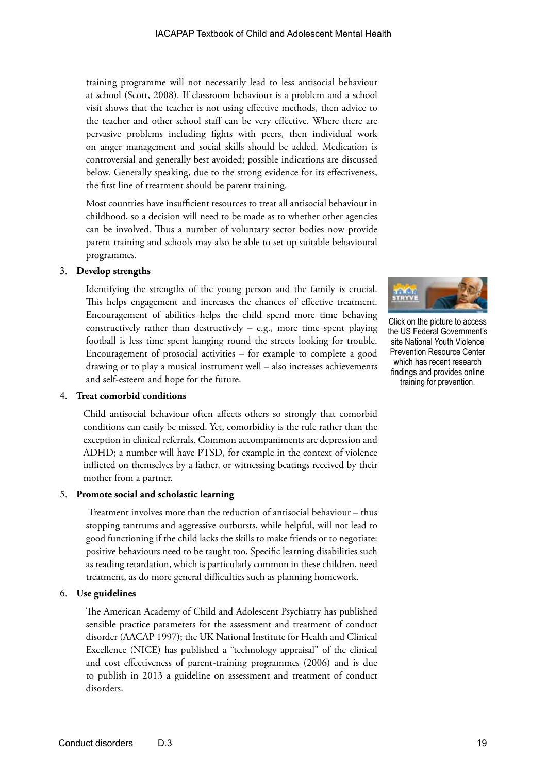training programme will not necessarily lead to less antisocial behaviour at school (Scott, 2008). If classroom behaviour is a problem and a school visit shows that the teacher is not using effective methods, then advice to the teacher and other school staff can be very effective. Where there are pervasive problems including fights with peers, then individual work on anger management and social skills should be added. Medication is controversial and generally best avoided; possible indications are discussed below. Generally speaking, due to the strong evidence for its effectiveness, the first line of treatment should be parent training.

Most countries have insufficient resources to treat all antisocial behaviour in childhood, so a decision will need to be made as to whether other agencies can be involved. Thus a number of voluntary sector bodies now provide parent training and schools may also be able to set up suitable behavioural programmes.

## 3. **Develop strengths**

Identifying the strengths of the young person and the family is crucial. This helps engagement and increases the chances of effective treatment. Encouragement of abilities helps the child spend more time behaving constructively rather than destructively  $-$  e.g., more time spent playing football is less time spent hanging round the streets looking for trouble. Encouragement of prosocial activities – for example to complete a good drawing or to play a musical instrument well – also increases achievements and self-esteem and hope for the future.

## 4. **Treat comorbid conditions**

Child antisocial behaviour often affects others so strongly that comorbid conditions can easily be missed. Yet, comorbidity is the rule rather than the exception in clinical referrals. Common accompaniments are depression and ADHD; a number will have PTSD, for example in the context of violence inflicted on themselves by a father, or witnessing beatings received by their mother from a partner.

## 5. **Promote social and scholastic learning**

Treatment involves more than the reduction of antisocial behaviour – thus stopping tantrums and aggressive outbursts, while helpful, will not lead to good functioning if the child lacks the skills to make friends or to negotiate: positive behaviours need to be taught too. Specific learning disabilities such as reading retardation, which is particularly common in these children, need treatment, as do more general difficulties such as planning homework.

## 6. **Use guidelines**

The American Academy of Child and Adolescent Psychiatry has published sensible practice parameters for the assessment and treatment of conduct disorder (AACAP 1997); the UK National Institute for Health and Clinical Excellence (NICE) has published a "technology appraisal" of the clinical and cost effectiveness of parent-training programmes (2006) and is due to publish in 2013 a guideline on assessment and treatment of conduct disorders.



Click on the picture to access the US Federal Government's site National Youth Violence Prevention Resource Center which has recent research findings and provides online training for prevention.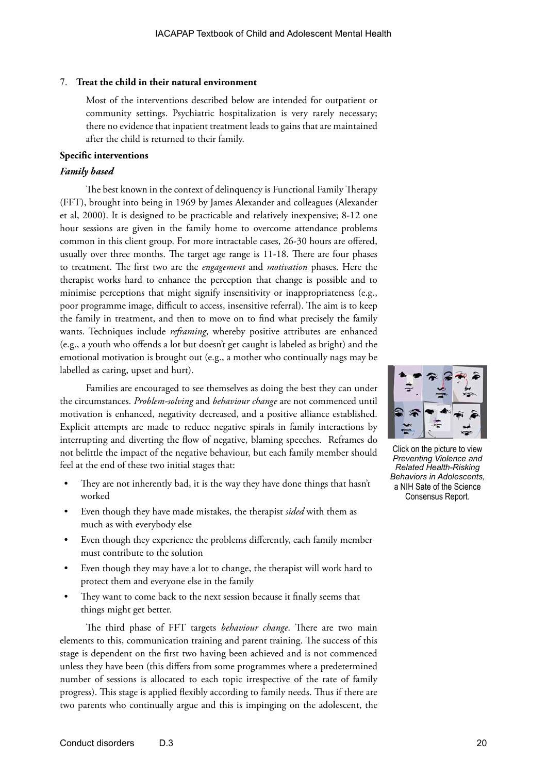## 7. **Treat the child in their natural environment**

Most of the interventions described below are intended for outpatient or community settings. Psychiatric hospitalization is very rarely necessary; there no evidence that inpatient treatment leads to gains that are maintained after the child is returned to their family.

## **Specific interventions**

## *Family based*

The best known in the context of delinquency is Functional Family Therapy (FFT), brought into being in 1969 by James Alexander and colleagues (Alexander et al, 2000). It is designed to be practicable and relatively inexpensive; 8-12 one hour sessions are given in the family home to overcome attendance problems common in this client group. For more intractable cases, 26-30 hours are offered, usually over three months. The target age range is 11-18. There are four phases to treatment. The first two are the *engagement* and *motivation* phases. Here the therapist works hard to enhance the perception that change is possible and to minimise perceptions that might signify insensitivity or inappropriateness (e.g., poor programme image, difficult to access, insensitive referral). The aim is to keep the family in treatment, and then to move on to find what precisely the family wants. Techniques include *reframing*, whereby positive attributes are enhanced (e.g., a youth who offends a lot but doesn't get caught is labeled as bright) and the emotional motivation is brought out (e.g., a mother who continually nags may be labelled as caring, upset and hurt).

Families are encouraged to see themselves as doing the best they can under the circumstances. *Problem-solving* and *behaviour change* are not commenced until motivation is enhanced, negativity decreased, and a positive alliance established. Explicit attempts are made to reduce negative spirals in family interactions by interrupting and diverting the flow of negative, blaming speeches. Reframes do not belittle the impact of the negative behaviour, but each family member should feel at the end of these two initial stages that:

- They are not inherently bad, it is the way they have done things that hasn't worked
- Even though they have made mistakes, the therapist *sided* with them as much as with everybody else
- Even though they experience the problems differently, each family member must contribute to the solution
- Even though they may have a lot to change, the therapist will work hard to protect them and everyone else in the family
- They want to come back to the next session because it finally seems that things might get better.

The third phase of FFT targets *behaviour change*. There are two main elements to this, communication training and parent training. The success of this stage is dependent on the first two having been achieved and is not commenced unless they have been (this differs from some programmes where a predetermined number of sessions is allocated to each topic irrespective of the rate of family progress). This stage is applied flexibly according to family needs. Thus if there are two parents who continually argue and this is impinging on the adolescent, the



Click on the picture to view *Preventing Violence and Related Health-Risking Behaviors in Adolescents,*  a NIH Sate of the Science Consensus Report.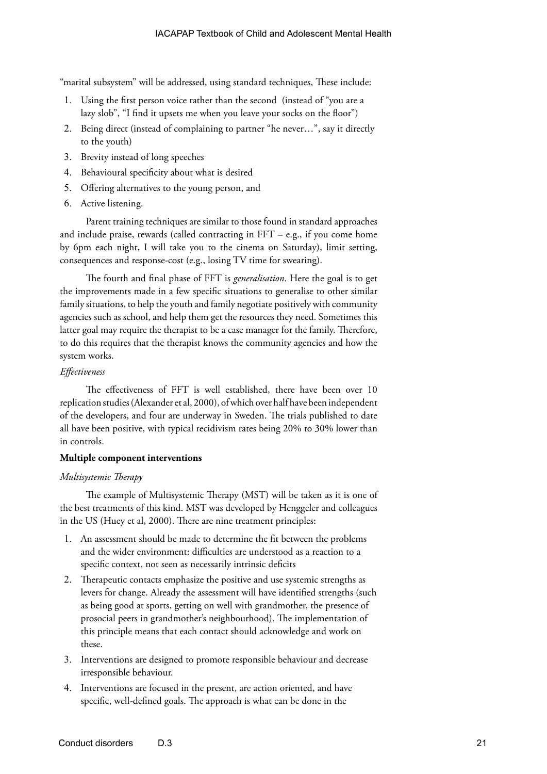"marital subsystem" will be addressed, using standard techniques, These include:

- 1. Using the first person voice rather than the second (instead of "you are a lazy slob", "I find it upsets me when you leave your socks on the floor")
- 2. Being direct (instead of complaining to partner "he never...", say it directly to the youth)
- 3. Brevity instead of long speeches
- 4. Behavioural specificity about what is desired
- 5. Offering alternatives to the young person, and
- 6. Active listening.

Parent training techniques are similar to those found in standard approaches and include praise, rewards (called contracting in  $FFT - e.g.,$  if you come home by 6pm each night, I will take you to the cinema on Saturday), limit setting, consequences and response-cost (e.g., losing TV time for swearing).

The fourth and final phase of FFT is *generalisation*. Here the goal is to get the improvements made in a few specific situations to generalise to other similar family situations, to help the youth and family negotiate positively with community agencies such as school, and help them get the resources they need. Sometimes this latter goal may require the therapist to be a case manager for the family. Therefore, to do this requires that the therapist knows the community agencies and how the system works.

## *Effectiveness*

The effectiveness of FFT is well established, there have been over 10 replication studies (Alexander et al, 2000), of which over half have been independent of the developers, and four are underway in Sweden. The trials published to date all have been positive, with typical recidivism rates being 20% to 30% lower than in controls.

## **Multiple component interventions**

## *Multisystemic Therapy*

The example of Multisystemic Therapy (MST) will be taken as it is one of the best treatments of this kind. MST was developed by Henggeler and colleagues in the US (Huey et al, 2000). There are nine treatment principles:

- 1. An assessment should be made to determine the fit between the problems and the wider environment: difficulties are understood as a reaction to a specific context, not seen as necessarily intrinsic deficits
- 2. Therapeutic contacts emphasize the positive and use systemic strengths as levers for change. Already the assessment will have identified strengths (such as being good at sports, getting on well with grandmother, the presence of prosocial peers in grandmother's neighbourhood). The implementation of this principle means that each contact should acknowledge and work on these.
- 3. Interventions are designed to promote responsible behaviour and decrease irresponsible behaviour.
- 4. Interventions are focused in the present, are action oriented, and have specific, well-defined goals. The approach is what can be done in the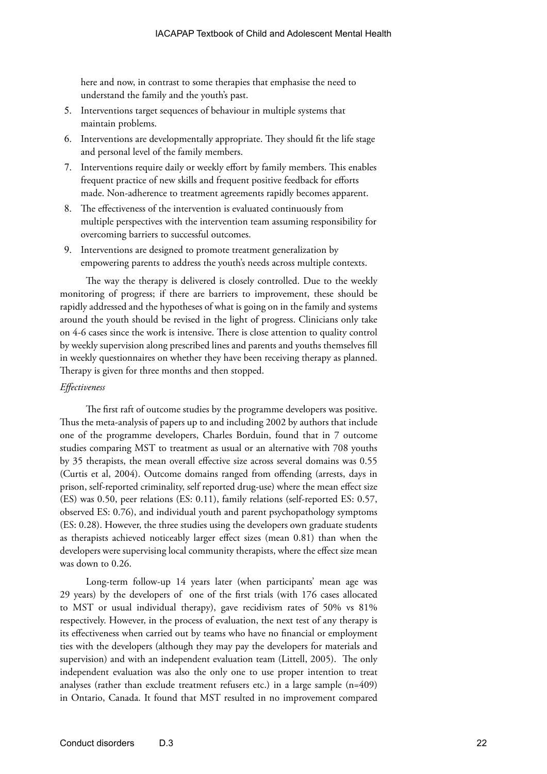here and now, in contrast to some therapies that emphasise the need to understand the family and the youth's past.

- 5. Interventions target sequences of behaviour in multiple systems that maintain problems.
- 6. Interventions are developmentally appropriate. They should fit the life stage and personal level of the family members.
- 7. Interventions require daily or weekly effort by family members. This enables frequent practice of new skills and frequent positive feedback for efforts made. Non-adherence to treatment agreements rapidly becomes apparent.
- 8. The effectiveness of the intervention is evaluated continuously from multiple perspectives with the intervention team assuming responsibility for overcoming barriers to successful outcomes.
- 9. Interventions are designed to promote treatment generalization by empowering parents to address the youth's needs across multiple contexts.

The way the therapy is delivered is closely controlled. Due to the weekly monitoring of progress; if there are barriers to improvement, these should be rapidly addressed and the hypotheses of what is going on in the family and systems around the youth should be revised in the light of progress. Clinicians only take on 4-6 cases since the work is intensive. There is close attention to quality control by weekly supervision along prescribed lines and parents and youths themselves fill in weekly questionnaires on whether they have been receiving therapy as planned. Therapy is given for three months and then stopped.

#### *Effectiveness*

The first raft of outcome studies by the programme developers was positive. Thus the meta-analysis of papers up to and including 2002 by authors that include one of the programme developers, Charles Borduin, found that in 7 outcome studies comparing MST to treatment as usual or an alternative with 708 youths by 35 therapists, the mean overall effective size across several domains was 0.55 (Curtis et al, 2004). Outcome domains ranged from offending (arrests, days in prison, self-reported criminality, self reported drug-use) where the mean effect size (ES) was 0.50, peer relations (ES: 0.11), family relations (self-reported ES: 0.57, observed ES: 0.76), and individual youth and parent psychopathology symptoms (ES: 0.28). However, the three studies using the developers own graduate students as therapists achieved noticeably larger effect sizes (mean 0.81) than when the developers were supervising local community therapists, where the effect size mean was down to 0.26.

Long-term follow-up 14 years later (when participants' mean age was 29 years) by the developers of one of the first trials (with 176 cases allocated to MST or usual individual therapy), gave recidivism rates of 50% vs 81% respectively. However, in the process of evaluation, the next test of any therapy is its effectiveness when carried out by teams who have no financial or employment ties with the developers (although they may pay the developers for materials and supervision) and with an independent evaluation team (Littell, 2005). The only independent evaluation was also the only one to use proper intention to treat analyses (rather than exclude treatment refusers etc.) in a large sample (n=409) in Ontario, Canada. It found that MST resulted in no improvement compared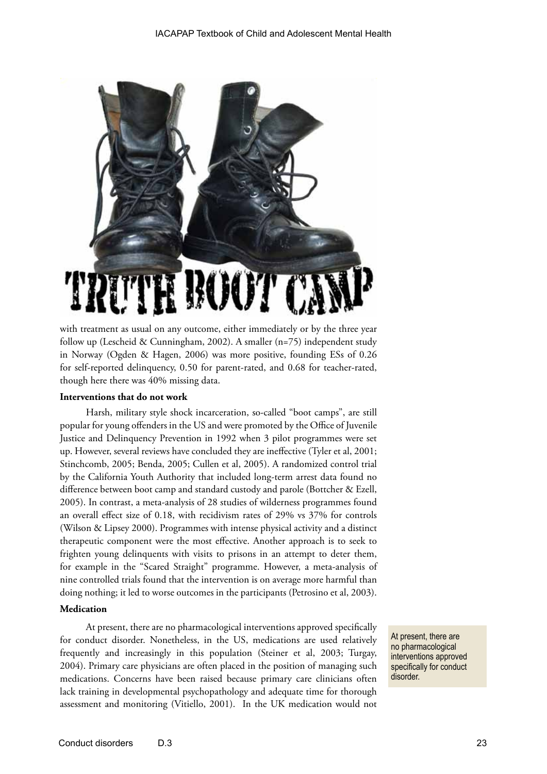

with treatment as usual on any outcome, either immediately or by the three year follow up (Lescheid & Cunningham, 2002). A smaller (n=75) independent study in Norway (Ogden & Hagen, 2006) was more positive, founding ESs of 0.26 for self-reported delinquency, 0.50 for parent-rated, and 0.68 for teacher-rated, though here there was 40% missing data.

#### **Interventions that do not work**

Harsh, military style shock incarceration, so-called "boot camps", are still popular for young offenders in the US and were promoted by the Office of Juvenile Justice and Delinquency Prevention in 1992 when 3 pilot programmes were set up. However, several reviews have concluded they are ineffective (Tyler et al, 2001; Stinchcomb, 2005; Benda, 2005; Cullen et al, 2005). A randomized control trial by the California Youth Authority that included long-term arrest data found no difference between boot camp and standard custody and parole (Bottcher & Ezell, 2005). In contrast, a meta-analysis of 28 studies of wilderness programmes found an overall effect size of 0.18, with recidivism rates of 29% vs 37% for controls (Wilson & Lipsey 2000). Programmes with intense physical activity and a distinct therapeutic component were the most effective. Another approach is to seek to frighten young delinquents with visits to prisons in an attempt to deter them, for example in the "Scared Straight" programme. However, a meta-analysis of nine controlled trials found that the intervention is on average more harmful than doing nothing; it led to worse outcomes in the participants (Petrosino et al, 2003).

## **Medication**

At present, there are no pharmacological interventions approved specifically for conduct disorder. Nonetheless, in the US, medications are used relatively frequently and increasingly in this population (Steiner et al, 2003; Turgay, 2004). Primary care physicians are often placed in the position of managing such medications. Concerns have been raised because primary care clinicians often lack training in developmental psychopathology and adequate time for thorough assessment and monitoring (Vitiello, 2001). In the UK medication would not

At present, there are no pharmacological interventions approved specifically for conduct disorder.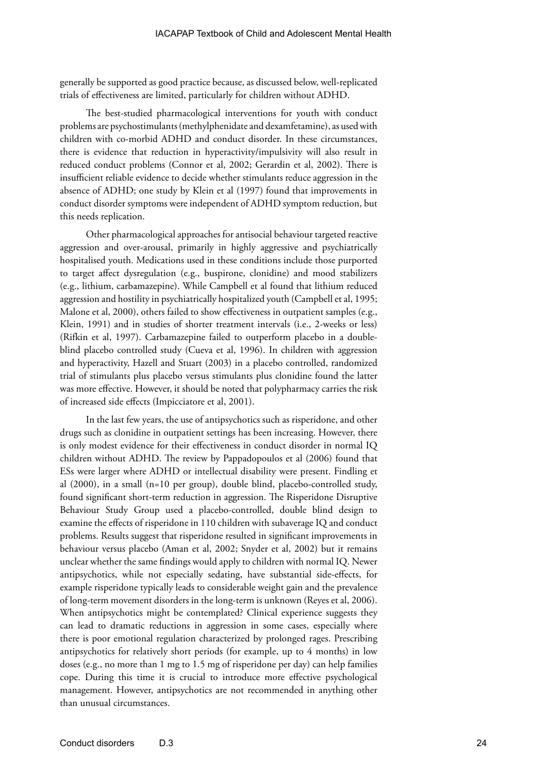generally be supported as good practice because, as discussed below, well-replicated trials of effectiveness are limited, particularly for children without ADHD.

The best-studied pharmacological interventions for youth with conduct problems are psychostimulants (methylphenidate and dexamfetamine), as used with children with co-morbid ADHD and conduct disorder. In these circumstances, there is evidence that reduction in hyperactivity/impulsivity will also result in reduced conduct problems (Connor et al, 2002; Gerardin et al, 2002). There is insufficient reliable evidence to decide whether stimulants reduce aggression in the absence of ADHD; one study by Klein et al (1997) found that improvements in conduct disorder symptoms were independent of ADHD symptom reduction, but this needs replication.

Other pharmacological approaches for antisocial behaviour targeted reactive aggression and over-arousal, primarily in highly aggressive and psychiatrically hospitalised youth. Medications used in these conditions include those purported to target affect dysregulation (e.g., buspirone, clonidine) and mood stabilizers (e.g., lithium, carbamazepine). While Campbell et al found that lithium reduced aggression and hostility in psychiatrically hospitalized youth (Campbell et al, 1995; Malone et al, 2000), others failed to show effectiveness in outpatient samples (e.g., Klein, 1991) and in studies of shorter treatment intervals (i.e., 2-weeks or less) (Rifkin et al, 1997). Carbamazepine failed to outperform placebo in a doubleblind placebo controlled study (Cueva et al, 1996). In children with aggression and hyperactivity, Hazell and Stuart (2003) in a placebo controlled, randomized trial of stimulants plus placebo versus stimulants plus clonidine found the latter was more effective. However, it should be noted that polypharmacy carries the risk of increased side effects (Impicciatore et al, 2001).

In the last few years, the use of antipsychotics such as risperidone, and other drugs such as clonidine in outpatient settings has been increasing. However, there is only modest evidence for their effectiveness in conduct disorder in normal IQ children without ADHD. The review by Pappadopoulos et al (2006) found that ESs were larger where ADHD or intellectual disability were present. Findling et al (2000), in a small (n=10 per group), double blind, placebo-controlled study, found significant short-term reduction in aggression. The Risperidone Disruptive Behaviour Study Group used a placebo-controlled, double blind design to examine the effects of risperidone in 110 children with subaverage IQ and conduct problems. Results suggest that risperidone resulted in significant improvements in behaviour versus placebo (Aman et al, 2002; Snyder et al, 2002) but it remains unclear whether the same findings would apply to children with normal IQ. Newer antipsychotics, while not especially sedating, have substantial side-effects, for example risperidone typically leads to considerable weight gain and the prevalence of long-term movement disorders in the long-term is unknown (Reyes et al, 2006). When antipsychotics might be contemplated? Clinical experience suggests they can lead to dramatic reductions in aggression in some cases, especially where there is poor emotional regulation characterized by prolonged rages. Prescribing antipsychotics for relatively short periods (for example, up to 4 months) in low doses (e.g., no more than 1 mg to 1.5 mg of risperidone per day) can help families cope. During this time it is crucial to introduce more effective psychological management. However, antipsychotics are not recommended in anything other than unusual circumstances.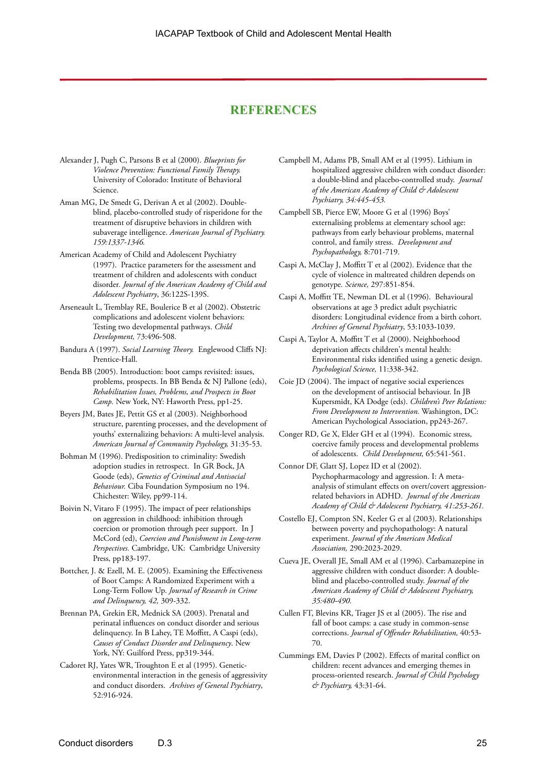## **REFERENCES**

- Alexander J, Pugh C, Parsons B et al (2000). *Blueprints for Violence Prevention: Functional Family Therapy.* University of Colorado: Institute of Behavioral Science.
- Aman MG, De Smedt G, Derivan A et al (2002). Doubleblind, placebo-controlled study of risperidone for the treatment of disruptive behaviors in children with subaverage intelligence. *American Journal of Psychiatry. 159:1337-1346.*
- American Academy of Child and Adolescent Psychiatry (1997). Practice parameters for the assessment and treatment of children and adolescents with conduct disorder*. Journal of the American Academy of Child and Adolescent Psychiatry*, 36:122S-139S.
- Arseneault L, Tremblay RE, Boulerice B et al (2002). Obstetric complications and adolescent violent behaviors: Testing two developmental pathways. *Child Development,* 73:496-508*.*
- Bandura A (1997). *Social Learning Theory.* Englewood Cliffs NJ: Prentice-Hall.
- Benda BB (2005). Introduction: boot camps revisited: issues, problems, prospects. In BB Benda & NJ Pallone (eds), *Rehabilitation Issues, Problems, and Prospects in Boot Camp.* New York, NY: Haworth Press, pp1-25.
- Beyers JM, Bates JE, Pettit GS et al (2003). Neighborhood structure, parenting processes, and the development of youths' externalizing behaviors: A multi-level analysis. *American Journal of Community Psychology,* 31:35-53.
- Bohman M (1996). Predisposition to criminality: Swedish adoption studies in retrospect. In GR Bock, JA Goode (eds), *Genetics of Criminal and Antisocial Behaviour.* Ciba Foundation Symposium no 194. Chichester: Wiley, pp99-114.
- Boivin N, Vitaro F (1995). The impact of peer relationships on aggression in childhood: inhibition through coercion or promotion through peer support. In J McCord (ed), *Coercion and Punishment in Long-term Perspectives.* Cambridge, UK: Cambridge University Press, pp183-197.
- Bottcher, J. & Ezell, M. E. (2005). Examining the Effectiveness of Boot Camps: A Randomized Experiment with a Long-Term Follow Up. *Journal of Research in Crime and Delinquency, 42,* 309-332.
- Brennan PA, Grekin ER, Mednick SA (2003). Prenatal and perinatal influences on conduct disorder and serious delinquency. In B Lahey, TE Moffitt, A Caspi (eds), *Causes of Conduct Disorder and Delinquency*. New York, NY: Guilford Press, pp319-344.
- Cadoret RJ, Yates WR, Troughton E et al (1995). Geneticenvironmental interaction in the genesis of aggressivity and conduct disorders. *Archives of General Psychiatry*, 52:916-924.
- Campbell M, Adams PB, Small AM et al (1995). Lithium in hospitalized aggressive children with conduct disorder: a double-blind and placebo-controlled study. *Journal of the American Academy of Child & Adolescent Psychiatry, 34:445-453.*
- Campbell SB, Pierce EW, Moore G et al (1996) Boys' externalising problems at elementary school age: pathways from early behaviour problems, maternal control, and family stress. *Development and Psychopathology,* 8:701-719.
- Caspi A, McClay J, Moffitt T et al (2002). Evidence that the cycle of violence in maltreated children depends on genotype*. Science,* 297:851-854.
- Caspi A, Moffitt TE, Newman DL et al (1996). Behavioural observations at age 3 predict adult psychiatric disorders: Longitudinal evidence from a birth cohort. *Archives of General Psychiatry*, 53:1033-1039.
- Caspi A, Taylor A, Moffitt T et al (2000). Neighborhood deprivation affects children's mental health: Environmental risks identified using a genetic design. *Psychological Science,* 11:338-342.
- Coie JD (2004). The impact of negative social experiences on the development of antisocial behaviour. In JB Kupersmidt, KA Dodge (eds). *Children's Peer Relations: From Development to Intervention.* Washington, DC: American Psychological Association, pp243-267.
- Conger RD, Ge X, Elder GH et al (1994). Economic stress, coercive family process and developmental problems of adolescents. *Child Development,* 65:541-561.
- Connor DF, Glatt SJ, Lopez ID et al (2002). Psychopharmacology and aggression. I: A metaanalysis of stimulant effects on overt/covert aggressionrelated behaviors in ADHD. *Journal of the American Academy of Child & Adolescent Psychiatry, 41:253-261.*
- Costello EJ, Compton SN, Keeler G et al (2003). Relationships between poverty and psychopathology: A natural experiment. *Journal of the American Medical Association,* 290:2023-2029.
- Cueva JE, Overall JE, Small AM et al (1996). Carbamazepine in aggressive children with conduct disorder: A doubleblind and placebo-controlled study. *Journal of the American Academy of Child & Adolescent Psychiatry, 35:480-490.*
- Cullen FT, Blevins KR, Trager JS et al (2005). The rise and fall of boot camps: a case study in common-sense corrections. *Journal of Offender Rehabilitation,* 40:53- 70.
- Cummings EM, Davies P (2002). Effects of marital conflict on children: recent advances and emerging themes in process-oriented research. *Journal of Child Psychology & Psychiatry,* 43:31-64.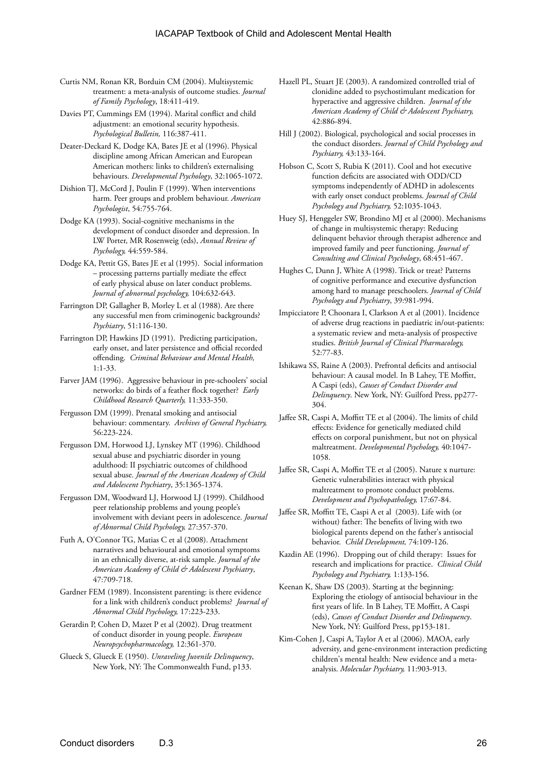- Curtis NM, Ronan KR, Borduin CM (2004). Multisystemic treatment: a meta-analysis of outcome studies. *Journal of Family Psychology*, 18:411-419.
- Davies PT, Cummings EM (1994). Marital conflict and child adjustment: an emotional security hypothesis. *Psychological Bulletin,* 116:387-411.
- Deater-Deckard K, Dodge KA, Bates JE et al (1996). Physical discipline among African American and European American mothers: links to children's externalising behaviours. *Developmental Psychology*, 32:1065-1072.
- Dishion TJ, McCord J, Poulin F (1999). When interventions harm. Peer groups and problem behaviour. *American Psychologist*, 54:755-764.
- Dodge KA (1993). Social-cognitive mechanisms in the development of conduct disorder and depression. In LW Porter, MR Rosenweig (eds), *Annual Review of Psychology,* 44:559-584.
- Dodge KA, Pettit GS, Bates JE et al (1995). Social information – processing patterns partially mediate the effect of early physical abuse on later conduct problems. *Journal of abnormal psychology,* 104:632-643.
- Farrington DP, Gallagher B, Morley L et al (1988). Are there any successful men from criminogenic backgrounds? *Psychiatry*, 51:116-130.
- Farrington DP, Hawkins JD (1991). Predicting participation, early onset, and later persistence and official recorded offending. *Criminal Behaviour and Mental Health,*  1:1-33.
- Farver JAM (1996). Aggressive behaviour in pre-schoolers' social networks: do birds of a feather flock together? *Early Childhood Research Quarterly,* 11:333-350.
- Fergusson DM (1999). Prenatal smoking and antisocial behaviour: commentary. *Archives of General Psychiatry,*  56:223-224.
- Fergusson DM, Horwood LJ, Lynskey MT (1996). Childhood sexual abuse and psychiatric disorder in young adulthood: II psychiatric outcomes of childhood sexual abuse. *Journal of the American Academy of Child and Adolescent Psychiatry*, 35:1365-1374.
- Fergusson DM, Woodward LJ, Horwood LJ (1999). Childhood peer relationship problems and young people's involvement with deviant peers in adolescence. *Journal of Abnormal Child Psychology,* 27:357-370.
- Futh A, O'Connor TG, Matias C et al (2008). Attachment narratives and behavioural and emotional symptoms in an ethnically diverse, at-risk sample. *Journal of the American Academy of Child & Adolescent Psychiatry*, 47:709-718.
- Gardner FEM (1989). Inconsistent parenting: is there evidence for a link with children's conduct problems? *Journal of Abnormal Child Psychology,* 17:223-233.
- Gerardin P, Cohen D, Mazet P et al (2002). Drug treatment of conduct disorder in young people. *European Neuropsychopharmacology,* 12:361-370.
- Glueck S, Glueck E (1950). *Unraveling Juvenile Delinquency*, New York, NY: The Commonwealth Fund, p133.
- Hazell PL, Stuart JE (2003). A randomized controlled trial of clonidine added to psychostimulant medication for hyperactive and aggressive children. *Journal of the American Academy of Child & Adolescent Psychiatry,*  42:886-894.
- Hill J (2002). Biological, psychological and social processes in the conduct disorders. *Journal of Child Psychology and Psychiatry,* 43:133-164.
- Hobson C, Scott S, Rubia K (2011). Cool and hot executive function deficits are associated with ODD/CD symptoms independently of ADHD in adolescents with early onset conduct problems. *Journal of Child Psychology and Psychiatry,* 52:1035-1043.
- Huey SJ, Henggeler SW, Brondino MJ et al (2000). Mechanisms of change in multisystemic therapy: Reducing delinquent behavior through therapist adherence and improved family and peer functioning. *Journal of Consulting and Clinical Psychology*, 68:451-467.
- Hughes C, Dunn J, White A (1998). Trick or treat? Patterns of cognitive performance and executive dysfunction among hard to manage preschoolers. *Journal of Child Psychology and Psychiatry*, 39:981-994.
- Impicciatore P, Choonara I, Clarkson A et al (2001). Incidence of adverse drug reactions in paediatric in/out-patients: a systematic review and meta-analysis of prospective studies. *British Journal of Clinical Pharmacology,*  52:77-83.
- Ishikawa SS, Raine A (2003). Prefrontal deficits and antisocial behaviour: A causal model. In B Lahey, TE Moffitt, A Caspi (eds), *Causes of Conduct Disorder and Delinquency*. New York, NY: Guilford Press, pp277- 304.
- Jaffee SR, Caspi A, Moffitt TE et al (2004). The limits of child effects: Evidence for genetically mediated child effects on corporal punishment, but not on physical maltreatment. *Developmental Psychology,* 40:1047- 1058.
- Jaffee SR, Caspi A, Moffitt TE et al (2005). Nature x nurture: Genetic vulnerabilities interact with physical maltreatment to promote conduct problems. *Development and Psychopathology,* 17:67-84.
- Jaffee SR, Moffitt TE, Caspi A et al (2003). Life with (or without) father: The benefits of living with two biological parents depend on the father's antisocial behavior. *Child Development,* 74:109-126.
- Kazdin AE (1996). Dropping out of child therapy: Issues for research and implications for practice. *Clinical Child Psychology and Psychiatry,* 1:133-156.
- Keenan K, Shaw DS (2003). Starting at the beginning: Exploring the etiology of antisocial behaviour in the first years of life. In B Lahey, TE Moffitt, A Caspi (eds), *Causes of Conduct Disorder and Delinquency*. New York, NY: Guilford Press, pp153-181.
- Kim-Cohen J, Caspi A, Taylor A et al (2006). MAOA, early adversity, and gene-environment interaction predicting children's mental health: New evidence and a metaanalysis. *Molecular Psychiatry,* 11:903-913.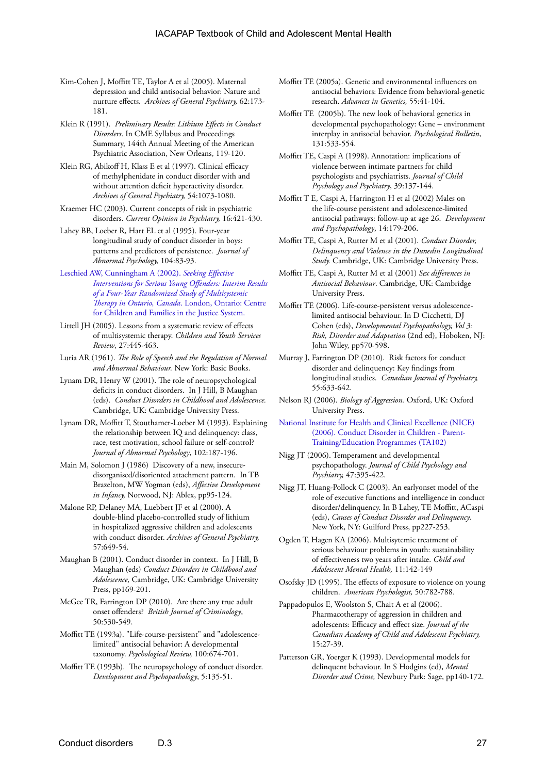- Kim-Cohen J, Moffitt TE, Taylor A et al (2005). Maternal depression and child antisocial behavior: Nature and nurture effects. *Archives of General Psychiatry,* 62:173- 181.
- Klein R (1991). *Preliminary Results: Lithium Effects in Conduct Disorders*. In CME Syllabus and Proceedings Summary, 144th Annual Meeting of the American Psychiatric Association, New Orleans, 119-120.
- Klein RG, Abikoff H, Klass E et al (1997). Clinical efficacy of methylphenidate in conduct disorder with and without attention deficit hyperactivity disorder. *Archives of General Psychiatry,* 54:1073-1080.
- Kraemer HC (2003). Current concepts of risk in psychiatric disorders. *Current Opinion in Psychiatry,* 16:421-430.
- Lahey BB, Loeber R, Hart EL et al (1995). Four-year longitudinal study of conduct disorder in boys: patterns and predictors of persistence. *Journal of Abnormal Psychology,* 104:83-93.
- [Leschied AW, Cunningham A \(2002\).](http://www.lfcc.on.ca/seeking.html) *Seeking Effective [Interventions for Serious Young Offenders: Interim Results](http://www.lfcc.on.ca/seeking.html)  [of a Four-Year Randomized Study of Multisystemic](http://www.lfcc.on.ca/seeking.html)  [Therapy in Ontario, Canada](http://www.lfcc.on.ca/seeking.html)*. London, Ontario: Centre [for Children and Families in the Justice System.](http://www.lfcc.on.ca/seeking.html)
- Littell JH (2005). Lessons from a systematic review of effects of multisystemic therapy. *Children and Youth Services Review*, 27:445-463.
- Luria AR (1961). *The Role of Speech and the Regulation of Normal and Abnormal Behaviour.* New York: Basic Books.
- Lynam DR, Henry W (2001). The role of neuropsychological deficits in conduct disorders. In J Hill, B Maughan (eds). *Conduct Disorders in Childhood and Adolescence.*  Cambridge, UK: Cambridge University Press.
- Lynam DR, Moffitt T, Stouthamer-Loeber M (1993). Explaining the relationship between IQ and delinquency: class, race, test motivation, school failure or self-control? *Journal of Abnormal Psychology*, 102:187-196.
- Main M, Solomon J (1986) Discovery of a new, insecuredisorganised/disoriented attachment pattern. In TB Brazelton, MW Yogman (eds), *Affective Development in Infancy,* Norwood, NJ: Ablex, pp95-124.
- Malone RP, Delaney MA, Luebbert JF et al (2000). A double-blind placebo-controlled study of lithium in hospitalized aggressive children and adolescents with conduct disorder. *Archives of General Psychiatry,*  57:649-54.
- Maughan B (2001). Conduct disorder in context. In J Hill, B Maughan (eds) *Conduct Disorders in Childhood and Adolescence,* Cambridge, UK: Cambridge University Press, pp169-201.
- McGee TR, Farrington DP (2010). Are there any true adult onset offenders? *British Journal of Criminology*, 50:530-549.
- Moffitt TE (1993a). "Life-course-persistent" and "adolescencelimited" antisocial behavior: A developmental taxonomy. *Psychological Review,* 100:674-701.
- Moffitt TE (1993b). The neuropsychology of conduct disorder. *Development and Psychopathology*, 5:135-51.
- Moffitt TE (2005a). Genetic and environmental influences on antisocial behaviors: Evidence from behavioral-genetic research. *Advances in Genetics,* 55:41-104.
- Moffitt TE (2005b). The new look of behavioral genetics in developmental psychopathology: Gene – environment interplay in antisocial behavior. *Psychological Bulletin*, 131:533-554.

Moffitt TE, Caspi A (1998). Annotation: implications of violence between intimate partners for child psychologists and psychiatrists. *Journal of Child Psychology and Psychiatry*, 39:137-144.

- Moffitt T E, Caspi A, Harrington H et al (2002) Males on the life-course persistent and adolescence-limited antisocial pathways: follow-up at age 26. *Development and Psychopathology*, 14:179-206.
- Moffitt TE, Caspi A, Rutter M et al (2001). *Conduct Disorder, Delinquency and Violence in the Dunedin Longitudinal Study.* Cambridge, UK: Cambridge University Press.
- Moffitt TE, Caspi A, Rutter M et al (2001) *Sex differences in Antisocial Behaviour*. Cambridge, UK: Cambridge University Press.
- Moffitt TE (2006). Life-course-persistent versus adolescencelimited antisocial behaviour. In D Cicchetti, DJ Cohen (eds), *Developmental Psychopathology, Vol 3: Risk, Disorder and Adaptation* (2nd ed), Hoboken, NJ: John Wiley, pp570-598.
- Murray J, Farrington DP (2010). Risk factors for conduct disorder and delinquency: Key findings from longitudinal studies. *Canadian Journal of Psychiatry,* 55:633-642.
- Nelson RJ (2006). *Biology of Aggression.* Oxford, UK: Oxford University Press.
- [National Institute for Health and Clinical Excellence \(NICE\)](http://www.nice.org.uk/nicemedia/pdf/Parent_training_FAD.pdf)  [\(2006\). Conduct Disorder in Children - Parent-](http://www.nice.org.uk/nicemedia/pdf/Parent_training_FAD.pdf)[Training/Education Programmes \(TA102\)](http://www.nice.org.uk/nicemedia/pdf/Parent_training_FAD.pdf)
- Nigg JT (2006). Temperament and developmental psychopathology. *Journal of Child Psychology and Psychiatry,* 47:395-422.
- Nigg JT, Huang-Pollock C (2003). An earlyonset model of the role of executive functions and intelligence in conduct disorder/delinquency. In B Lahey, TE Moffitt, ACaspi (eds), *Causes of Conduct Disorder and Delinquency*. New York, NY: Guilford Press, pp227-253.
- Ogden T, Hagen KA (2006). Multisytemic treatment of serious behaviour problems in youth: sustainability of effectiveness two years after intake. *Child and Adolescent Mental Health,* 11:142-149
- Osofsky JD (1995). The effects of exposure to violence on young children. *American Psychologist,* 50:782-788.
- Pappadopulos E, Woolston S, Chait A et al (2006). Pharmacotherapy of aggression in children and adolescents: Efficacy and effect size. *Journal of the Canadian Academy of Child and Adolescent Psychiatry,*  15:27-39.
- Patterson GR, Yoerger K (1993). Developmental models for delinquent behaviour. In S Hodgins (ed), *Mental Disorder and Crime,* Newbury Park: Sage, pp140-172.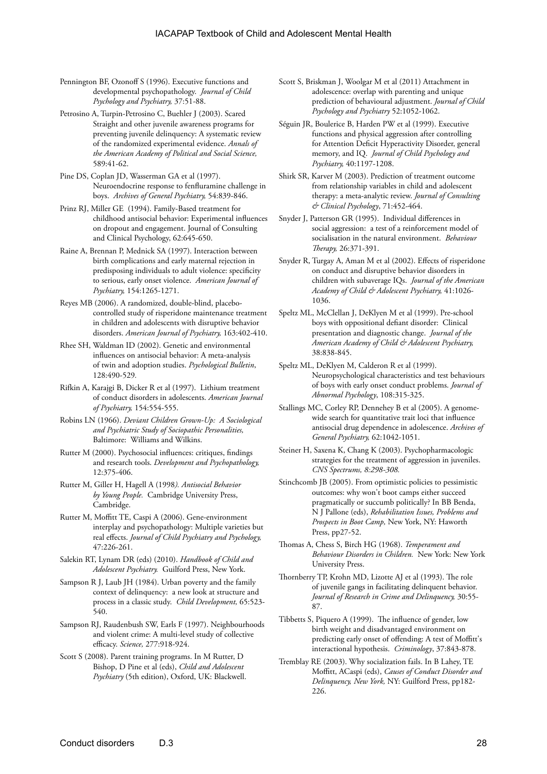- Pennington BF, Ozonoff S (1996). Executive functions and developmental psychopathology. *Journal of Child Psychology and Psychiatry,* 37:51-88.
- Petrosino A, Turpin-Petrosino C, Buehler J (2003). Scared Straight and other juvenile awareness programs for preventing juvenile delinquency: A systematic review of the randomized experimental evidence. *Annals of the American Academy of Political and Social Science,*  589:41-62.
- Pine DS, Coplan JD, Wasserman GA et al (1997). Neuroendocrine response to fenfluramine challenge in boys. *Archives of General Psychiatry,* 54:839-846.
- Prinz RJ, Miller GE (1994). Family-Based treatment for childhood antisocial behavior: Experimental influences on dropout and engagement. Journal of Consulting and Clinical Psychology, 62:645-650.
- Raine A, Brennan P, Mednick SA (1997). Interaction between birth complications and early maternal rejection in predisposing individuals to adult violence: specificity to serious, early onset violence. *American Journal of Psychiatry,* 154:1265-1271.
- Reyes MB (2006). A randomized, double-blind, placebocontrolled study of risperidone maintenance treatment in children and adolescents with disruptive behavior disorders. *American Journal of Psychiatry,* 163:402-410.
- Rhee SH, Waldman ID (2002). Genetic and environmental influences on antisocial behavior: A meta-analysis of twin and adoption studies. *Psychological Bulletin*, 128:490-529*.*
- Rifkin A, Karajgi B, Dicker R et al (1997). Lithium treatment of conduct disorders in adolescents. *American Journal of Psychiatry,* 154:554-555.
- Robins LN (1966). *Deviant Children Grown-Up: A Sociological and Psychiatric Study of Sociopathic Personalities,* Baltimore: Williams and Wilkins.
- Rutter M (2000). Psychosocial influences: critiques, findings and research tools. *Development and Psychopathology,*  12:375-406.
- Rutter M, Giller H, Hagell A (1998*). Antisocial Behavior by Young People.* Cambridge University Press, Cambridge.
- Rutter M, Moffitt TE, Caspi A (2006). Gene-environment interplay and psychopathology: Multiple varieties but real effects. *Journal of Child Psychiatry and Psychology,*  47:226-261.
- Salekin RT, Lynam DR (eds) (2010). *Handbook of Child and Adolescent Psychiatry.* Guilford Press, New York.
- Sampson R J, Laub JH (1984). Urban poverty and the family context of delinquency: a new look at structure and process in a classic study. *Child Development,* 65:523- 540.
- Sampson RJ, Raudenbush SW, Earls F (1997). Neighbourhoods and violent crime: A multi-level study of collective efficacy. *Science,* 277:918-924.
- Scott S (2008). Parent training programs. In M Rutter, D Bishop, D Pine et al (eds), *Child and Adolescent Psychiatry* (5th edition), Oxford, UK: Blackwell.
- Scott S, Briskman J, Woolgar M et al (2011) Attachment in adolescence: overlap with parenting and unique prediction of behavioural adjustment. *Journal of Child Psychology and Psychiatry* 52:1052-1062.
- Séguin JR, Boulerice B, Harden PW et al (1999). Executive functions and physical aggression after controlling for Attention Deficit Hyperactivity Disorder, general memory, and IQ. *Journal of Child Psychology and Psychiatry,* 40:1197-1208.
- Shirk SR, Karver M (2003). Prediction of treatment outcome from relationship variables in child and adolescent therapy: a meta-analytic review. *Journal of Consulting & Clinical Psychology*, 71:452-464.
- Snyder J, Patterson GR (1995). Individual differences in social aggression: a test of a reinforcement model of socialisation in the natural environment. *Behaviour Therapy,* 26:371-391.
- Snyder R, Turgay A, Aman M et al (2002). Effects of risperidone on conduct and disruptive behavior disorders in children with subaverage IQs. *Journal of the American Academy of Child & Adolescent Psychiatry,* 41:1026- 1036.
- Speltz ML, McClellan J, DeKlyen M et al (1999). Pre-school boys with oppositional defiant disorder: Clinical presentation and diagnostic change. *Journal of the American Academy of Child & Adolescent Psychiatry,*  38:838-845.
- Speltz ML, DeKlyen M, Calderon R et al (1999). Neuropsychological characteristics and test behaviours of boys with early onset conduct problems. *Journal of Abnormal Psychology*, 108:315-325.
- Stallings MC, Corley RP, Dennehey B et al (2005). A genomewide search for quantitative trait loci that influence antisocial drug dependence in adolescence. *Archives of General Psychiatry,* 62:1042-1051.
- Steiner H, Saxena K, Chang K (2003). Psychopharmacologic strategies for the treatment of aggression in juveniles. *CNS Spectrums, 8:298-308.*
- Stinchcomb JB (2005). From optimistic policies to pessimistic outcomes: why won't boot camps either succeed pragmatically or succumb politically? In BB Benda, N J Pallone (eds), *Rehabilitation Issues, Problems and Prospects in Boot Camp,* New York, NY: Haworth Press, pp27-52.
- Thomas A, Chess S, Birch HG (1968). *Temperament and Behaviour Disorders in Children.* New York: New York University Press.
- Thornberry TP, Krohn MD, Lizotte AJ et al (1993). The role of juvenile gangs in facilitating delinquent behavior. *Journal of Research in Crime and Delinquency,* 30:55- 87.
- Tibbetts S, Piquero A (1999). The influence of gender, low birth weight and disadvantaged environment on predicting early onset of offending: A test of Moffitt's interactional hypothesis. *Criminology*, 37:843-878.
- Tremblay RE (2003). Why socialization fails. In B Lahey, TE Moffitt, ACaspi (eds), *Causes of Conduct Disorder and Delinquency, New York,* NY: Guilford Press, pp182- 226.